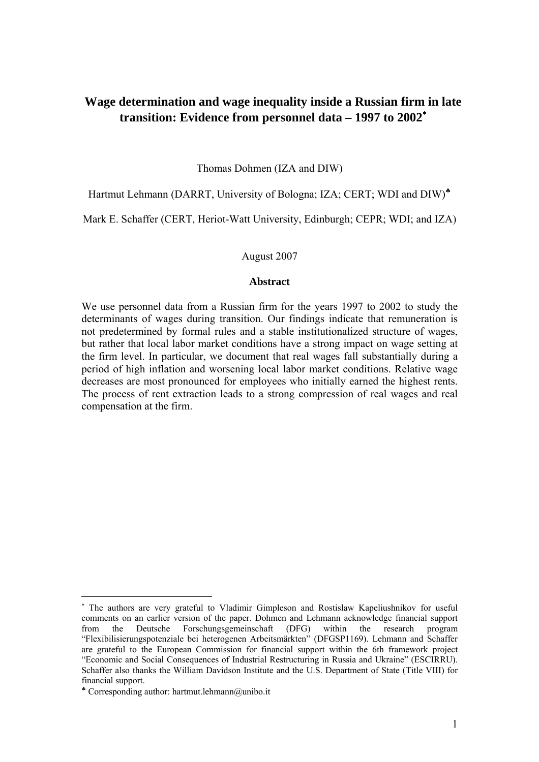# **Wage determination and wage inequality inside a Russian firm in late transition: Evidence from personnel data – 1997 to 2002**[∗](#page-0-0)

Thomas Dohmen (IZA and DIW)

Hartmut Lehmann (DARRT, University of Bologna; IZA; CERT; WDI and DIW)<sup>\*</sup>

Mark E. Schaffer (CERT, Heriot-Watt University, Edinburgh; CEPR; WDI; and IZA)

August 2007

#### **Abstract**

We use personnel data from a Russian firm for the years 1997 to 2002 to study the determinants of wages during transition. Our findings indicate that remuneration is not predetermined by formal rules and a stable institutionalized structure of wages, but rather that local labor market conditions have a strong impact on wage setting at the firm level. In particular, we document that real wages fall substantially during a period of high inflation and worsening local labor market conditions. Relative wage decreases are most pronounced for employees who initially earned the highest rents. The process of rent extraction leads to a strong compression of real wages and real compensation at the firm.

<span id="page-0-0"></span><sup>∗</sup> The authors are very grateful to Vladimir Gimpleson and Rostislaw Kapeliushnikov for useful comments on an earlier version of the paper. Dohmen and Lehmann acknowledge financial support from the Deutsche Forschungsgemeinschaft (DFG) within the research program "Flexibilisierungspotenziale bei heterogenen Arbeitsmärkten" (DFGSP1169). Lehmann and Schaffer are grateful to the European Commission for financial support within the 6th framework project "Economic and Social Consequences of Industrial Restructuring in Russia and Ukraine" (ESCIRRU). Schaffer also thanks the William Davidson Institute and the U.S. Department of State (Title VIII) for financial support.

<span id="page-0-1"></span> $*$  Corresponding author: hartmut.lehmann@unibo.it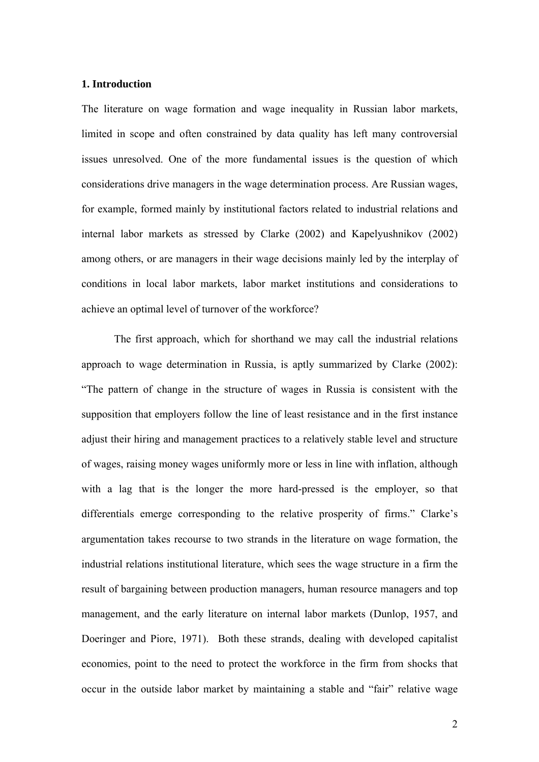### **1. Introduction**

The literature on wage formation and wage inequality in Russian labor markets, limited in scope and often constrained by data quality has left many controversial issues unresolved. One of the more fundamental issues is the question of which considerations drive managers in the wage determination process. Are Russian wages, for example, formed mainly by institutional factors related to industrial relations and internal labor markets as stressed by Clarke (2002) and Kapelyushnikov (2002) among others, or are managers in their wage decisions mainly led by the interplay of conditions in local labor markets, labor market institutions and considerations to achieve an optimal level of turnover of the workforce?

The first approach, which for shorthand we may call the industrial relations approach to wage determination in Russia, is aptly summarized by Clarke (2002): "The pattern of change in the structure of wages in Russia is consistent with the supposition that employers follow the line of least resistance and in the first instance adjust their hiring and management practices to a relatively stable level and structure of wages, raising money wages uniformly more or less in line with inflation, although with a lag that is the longer the more hard-pressed is the employer, so that differentials emerge corresponding to the relative prosperity of firms." Clarke's argumentation takes recourse to two strands in the literature on wage formation, the industrial relations institutional literature, which sees the wage structure in a firm the result of bargaining between production managers, human resource managers and top management, and the early literature on internal labor markets (Dunlop, 1957, and Doeringer and Piore, 1971). Both these strands, dealing with developed capitalist economies, point to the need to protect the workforce in the firm from shocks that occur in the outside labor market by maintaining a stable and "fair" relative wage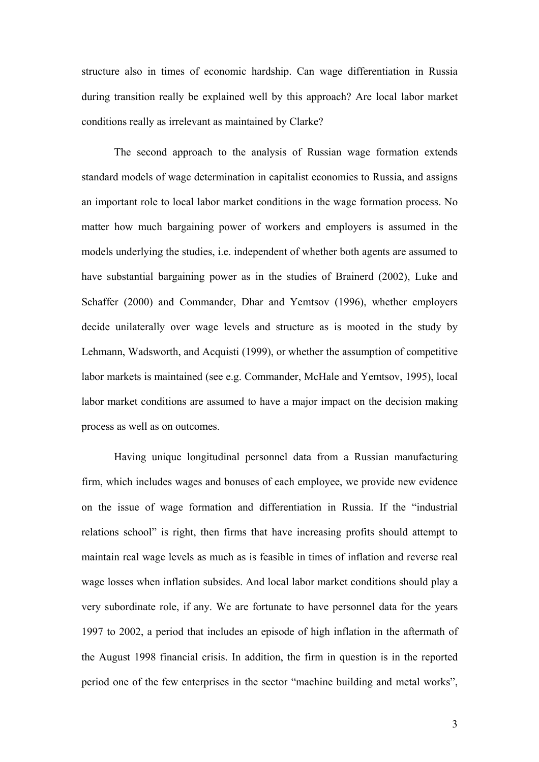structure also in times of economic hardship. Can wage differentiation in Russia during transition really be explained well by this approach? Are local labor market conditions really as irrelevant as maintained by Clarke?

The second approach to the analysis of Russian wage formation extends standard models of wage determination in capitalist economies to Russia, and assigns an important role to local labor market conditions in the wage formation process. No matter how much bargaining power of workers and employers is assumed in the models underlying the studies, i.e. independent of whether both agents are assumed to have substantial bargaining power as in the studies of Brainerd (2002), Luke and Schaffer (2000) and Commander, Dhar and Yemtsov (1996), whether employers decide unilaterally over wage levels and structure as is mooted in the study by Lehmann, Wadsworth, and Acquisti (1999), or whether the assumption of competitive labor markets is maintained (see e.g. Commander, McHale and Yemtsov, 1995), local labor market conditions are assumed to have a major impact on the decision making process as well as on outcomes.

Having unique longitudinal personnel data from a Russian manufacturing firm, which includes wages and bonuses of each employee, we provide new evidence on the issue of wage formation and differentiation in Russia. If the "industrial relations school" is right, then firms that have increasing profits should attempt to maintain real wage levels as much as is feasible in times of inflation and reverse real wage losses when inflation subsides. And local labor market conditions should play a very subordinate role, if any. We are fortunate to have personnel data for the years 1997 to 2002, a period that includes an episode of high inflation in the aftermath of the August 1998 financial crisis. In addition, the firm in question is in the reported period one of the few enterprises in the sector "machine building and metal works",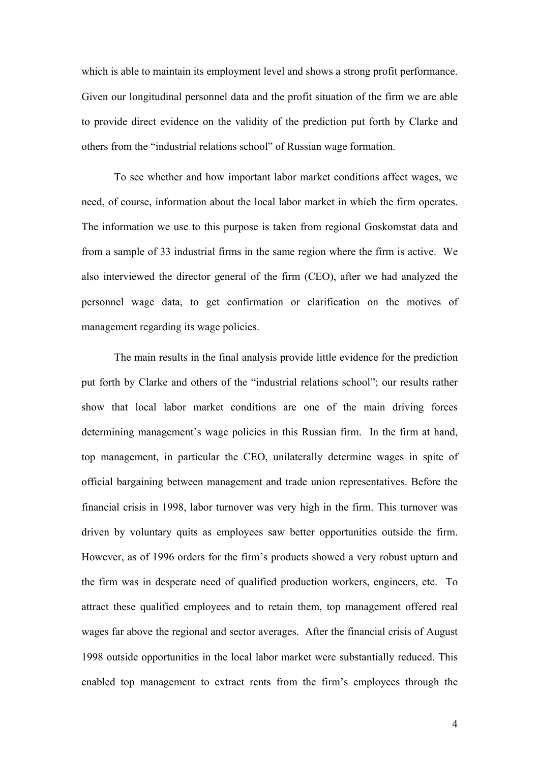which is able to maintain its employment level and shows a strong profit performance. Given our longitudinal personnel data and the profit situation of the firm we are able to provide direct evidence on the validity of the prediction put forth by Clarke and others from the "industrial relations school" of Russian wage formation.

To see whether and how important labor market conditions affect wages, we need, of course, information about the local labor market in which the firm operates. The information we use to this purpose is taken from regional Goskomstat data and from a sample of 33 industrial firms in the same region where the firm is active. We also interviewed the director general of the firm (CEO), after we had analyzed the personnel wage data, to get confirmation or clarification on the motives of management regarding its wage policies.

The main results in the final analysis provide little evidence for the prediction put forth by Clarke and others of the "industrial relations school"; our results rather show that local labor market conditions are one of the main driving forces determining management's wage policies in this Russian firm. In the firm at hand, top management, in particular the CEO, unilaterally determine wages in spite of official bargaining between management and trade union representatives. Before the financial crisis in 1998, labor turnover was very high in the firm. This turnover was driven by voluntary quits as employees saw better opportunities outside the firm. However, as of 1996 orders for the firm's products showed a very robust upturn and the firm was in desperate need of qualified production workers, engineers, etc. To attract these qualified employees and to retain them, top management offered real wages far above the regional and sector averages. After the financial crisis of August 1998 outside opportunities in the local labor market were substantially reduced. This enabled top management to extract rents from the firm's employees through the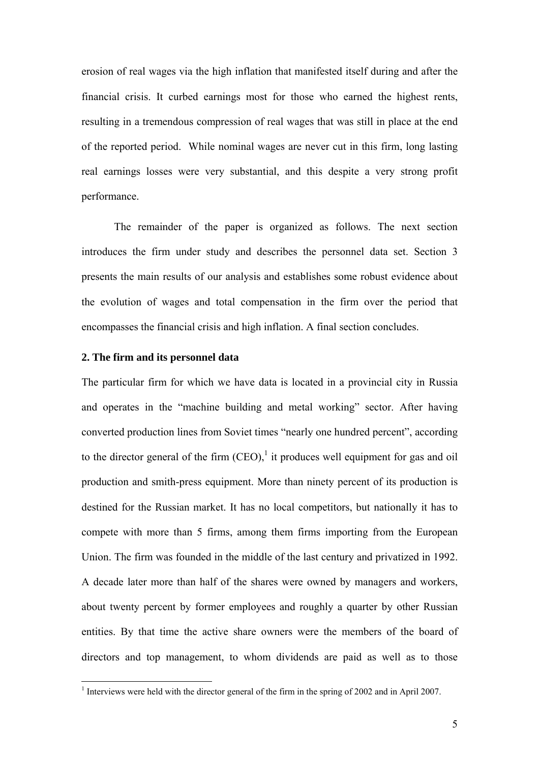erosion of real wages via the high inflation that manifested itself during and after the financial crisis. It curbed earnings most for those who earned the highest rents, resulting in a tremendous compression of real wages that was still in place at the end of the reported period. While nominal wages are never cut in this firm, long lasting real earnings losses were very substantial, and this despite a very strong profit performance.

The remainder of the paper is organized as follows. The next section introduces the firm under study and describes the personnel data set. Section 3 presents the main results of our analysis and establishes some robust evidence about the evolution of wages and total compensation in the firm over the period that encompasses the financial crisis and high inflation. A final section concludes.

#### **2. The firm and its personnel data**

 $\overline{a}$ 

The particular firm for which we have data is located in a provincial city in Russia and operates in the "machine building and metal working" sector. After having converted production lines from Soviet times "nearly one hundred percent", according to the director general of the firm  $(CEO)$ , it produces well equipment for gas and oil production and smith-press equipment. More than ninety percent of its production is destined for the Russian market. It has no local competitors, but nationally it has to compete with more than 5 firms, among them firms importing from the European Union. The firm was founded in the middle of the last century and privatized in 1992. A decade later more than half of the shares were owned by managers and workers, about twenty percent by former employees and roughly a quarter by other Russian entities. By that time the active share owners were the members of the board of directors and top management, to whom dividends are paid as well as to those

<span id="page-4-0"></span><sup>&</sup>lt;sup>1</sup> Interviews were held with the director general of the firm in the spring of 2002 and in April 2007.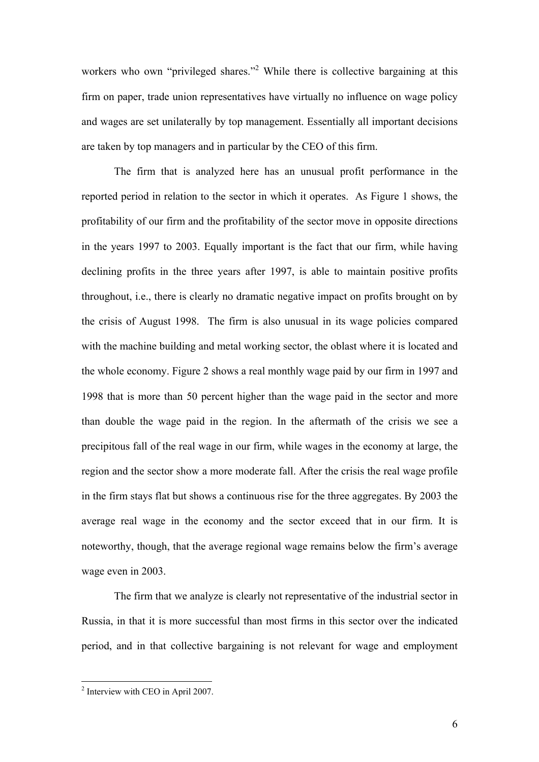workerswho own "privileged shares."<sup>2</sup> While there is collective bargaining at this firm on paper, trade union representatives have virtually no influence on wage policy and wages are set unilaterally by top management. Essentially all important decisions are taken by top managers and in particular by the CEO of this firm.

The firm that is analyzed here has an unusual profit performance in the reported period in relation to the sector in which it operates. As Figure 1 shows, the profitability of our firm and the profitability of the sector move in opposite directions in the years 1997 to 2003. Equally important is the fact that our firm, while having declining profits in the three years after 1997, is able to maintain positive profits throughout, i.e., there is clearly no dramatic negative impact on profits brought on by the crisis of August 1998. The firm is also unusual in its wage policies compared with the machine building and metal working sector, the oblast where it is located and the whole economy. Figure 2 shows a real monthly wage paid by our firm in 1997 and 1998 that is more than 50 percent higher than the wage paid in the sector and more than double the wage paid in the region. In the aftermath of the crisis we see a precipitous fall of the real wage in our firm, while wages in the economy at large, the region and the sector show a more moderate fall. After the crisis the real wage profile in the firm stays flat but shows a continuous rise for the three aggregates. By 2003 the average real wage in the economy and the sector exceed that in our firm. It is noteworthy, though, that the average regional wage remains below the firm's average wage even in 2003.

The firm that we analyze is clearly not representative of the industrial sector in Russia, in that it is more successful than most firms in this sector over the indicated period, and in that collective bargaining is not relevant for wage and employment

<span id="page-5-0"></span><sup>&</sup>lt;sup>2</sup> Interview with CEO in April 2007.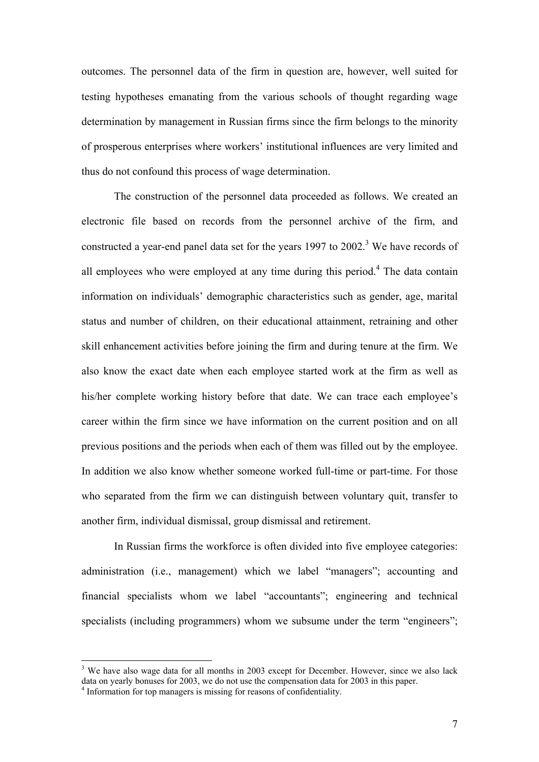outcomes. The personnel data of the firm in question are, however, well suited for testing hypotheses emanating from the various schools of thought regarding wage determination by management in Russian firms since the firm belongs to the minority of prosperous enterprises where workers' institutional influences are very limited and thus do not confound this process of wage determination.

The construction of the personnel data proceeded as follows. We created an electronic file based on records from the personnel archive of the firm, and constructed a year-end panel data set for the years 1997 to  $2002$ .<sup>[3](#page-6-0)</sup> We have records of all employees who were employed at any time during this period.<sup>[4](#page-6-1)</sup> The data contain information on individuals' demographic characteristics such as gender, age, marital status and number of children, on their educational attainment, retraining and other skill enhancement activities before joining the firm and during tenure at the firm. We also know the exact date when each employee started work at the firm as well as his/her complete working history before that date. We can trace each employee's career within the firm since we have information on the current position and on all previous positions and the periods when each of them was filled out by the employee. In addition we also know whether someone worked full-time or part-time. For those who separated from the firm we can distinguish between voluntary quit, transfer to another firm, individual dismissal, group dismissal and retirement.

In Russian firms the workforce is often divided into five employee categories: administration (i.e., management) which we label "managers"; accounting and financial specialists whom we label "accountants"; engineering and technical specialists (including programmers) whom we subsume under the term "engineers";

<span id="page-6-1"></span><span id="page-6-0"></span> $3$  We have also wage data for all months in 2003 except for December. However, since we also lack data on yearly bonuses for 2003, we do not use the compensation data for 2003 in this paper. 4 <sup>4</sup> Information for top managers is missing for reasons of confidentiality.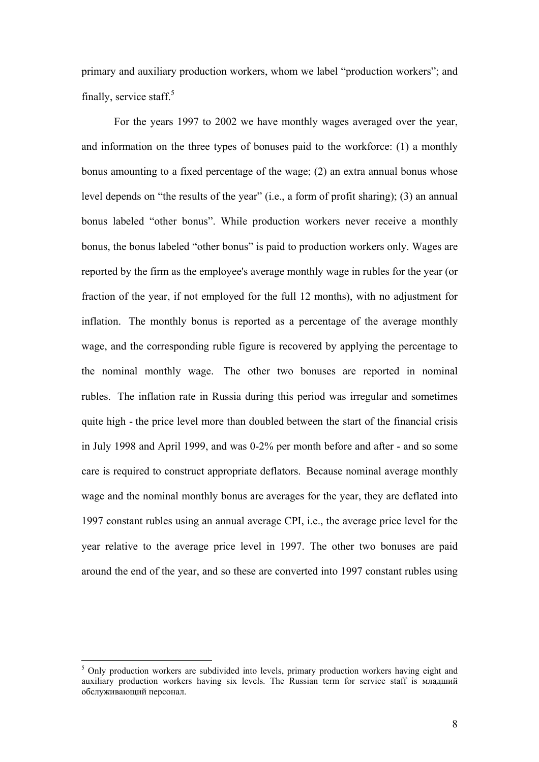primary and auxiliary production workers, whom we label "production workers"; and finally, service staff. $5$ 

For the years 1997 to 2002 we have monthly wages averaged over the year, and information on the three types of bonuses paid to the workforce: (1) a monthly bonus amounting to a fixed percentage of the wage; (2) an extra annual bonus whose level depends on "the results of the year" (i.e., a form of profit sharing); (3) an annual bonus labeled "other bonus". While production workers never receive a monthly bonus, the bonus labeled "other bonus" is paid to production workers only. Wages are reported by the firm as the employee's average monthly wage in rubles for the year (or fraction of the year, if not employed for the full 12 months), with no adjustment for inflation. The monthly bonus is reported as a percentage of the average monthly wage, and the corresponding ruble figure is recovered by applying the percentage to the nominal monthly wage. The other two bonuses are reported in nominal rubles. The inflation rate in Russia during this period was irregular and sometimes quite high - the price level more than doubled between the start of the financial crisis in July 1998 and April 1999, and was 0-2% per month before and after - and so some care is required to construct appropriate deflators. Because nominal average monthly wage and the nominal monthly bonus are averages for the year, they are deflated into 1997 constant rubles using an annual average CPI, i.e., the average price level for the year relative to the average price level in 1997. The other two bonuses are paid around the end of the year, and so these are converted into 1997 constant rubles using

<span id="page-7-0"></span><sup>&</sup>lt;sup>5</sup> Only production workers are subdivided into levels, primary production workers having eight and auxiliary production workers having six levels. The Russian term for service staff is младший обслуживающий персонал.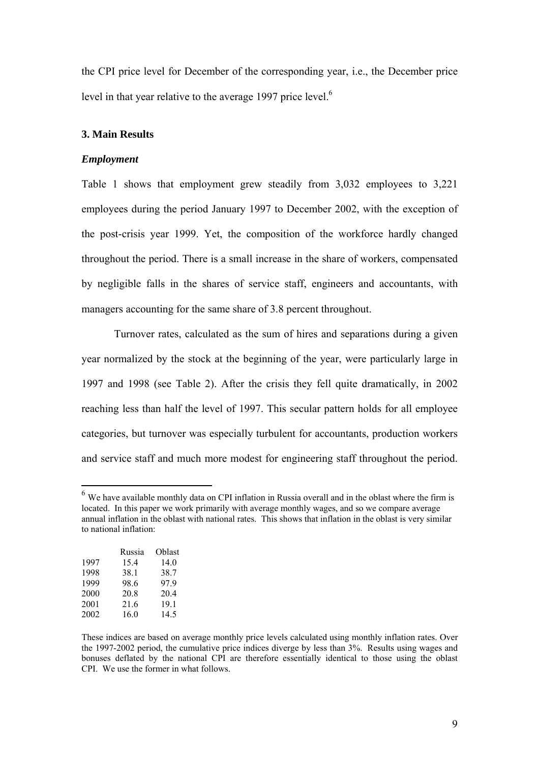the CPI price level for December of the corresponding year, i.e., the December price level in that year relative to the average 1997 price level.<sup>6</sup>

#### **3. Main Results**

#### *Employment*

Table 1 shows that employment grew steadily from 3,032 employees to 3,221 employees during the period January 1997 to December 2002, with the exception of the post-crisis year 1999. Yet, the composition of the workforce hardly changed throughout the period. There is a small increase in the share of workers, compensated by negligible falls in the shares of service staff, engineers and accountants, with managers accounting for the same share of 3.8 percent throughout.

Turnover rates, calculated as the sum of hires and separations during a given year normalized by the stock at the beginning of the year, were particularly large in 1997 and 1998 (see Table 2). After the crisis they fell quite dramatically, in 2002 reaching less than half the level of 1997. This secular pattern holds for all employee categories, but turnover was especially turbulent for accountants, production workers and service staff and much more modest for engineering staff throughout the period.

<span id="page-8-0"></span><sup>&</sup>lt;sup>6</sup> We have available monthly data on CPI inflation in Russia overall and in the oblast where the firm is located. In this paper we work primarily with average monthly wages, and so we compare average annual inflation in the oblast with national rates. This shows that inflation in the oblast is very similar to national inflation:

|      | Russia | Oblast |
|------|--------|--------|
| 1997 | 15.4   | 14.0   |
| 1998 | 38.1   | 38.7   |
| 1999 | 98.6   | 979    |
| 2000 | 20.8   | 20.4   |
| 2001 | 21.6   | 19.1   |
| 2002 | 16.0   | 14.5   |

These indices are based on average monthly price levels calculated using monthly inflation rates. Over the 1997-2002 period, the cumulative price indices diverge by less than 3%. Results using wages and bonuses deflated by the national CPI are therefore essentially identical to those using the oblast CPI. We use the former in what follows.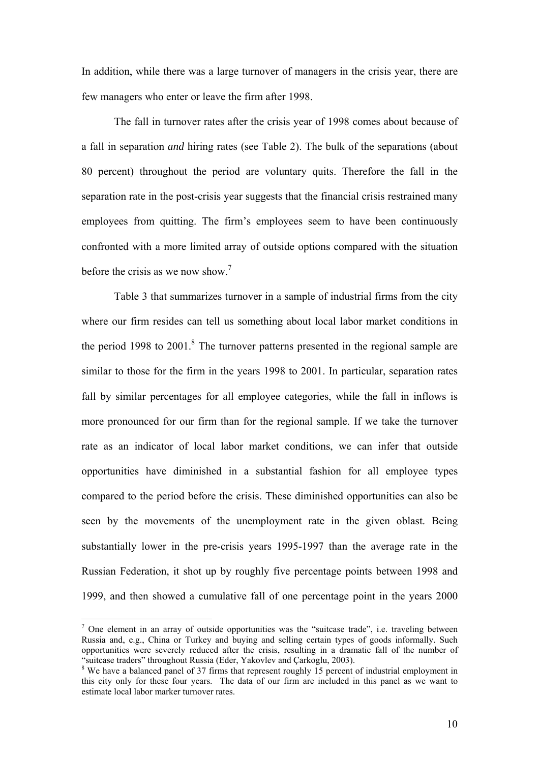In addition, while there was a large turnover of managers in the crisis year, there are few managers who enter or leave the firm after 1998.

The fall in turnover rates after the crisis year of 1998 comes about because of a fall in separation *and* hiring rates (see Table 2). The bulk of the separations (about 80 percent) throughout the period are voluntary quits. Therefore the fall in the separation rate in the post-crisis year suggests that the financial crisis restrained many employees from quitting. The firm's employees seem to have been continuously confronted with a more limited array of outside options compared with the situation beforethe crisis as we now show.<sup>7</sup>

Table 3 that summarizes turnover in a sample of industrial firms from the city where our firm resides can tell us something about local labor market conditions in the period 199[8](#page-9-1) to  $2001$ .<sup>8</sup> The turnover patterns presented in the regional sample are similar to those for the firm in the years 1998 to 2001. In particular, separation rates fall by similar percentages for all employee categories, while the fall in inflows is more pronounced for our firm than for the regional sample. If we take the turnover rate as an indicator of local labor market conditions, we can infer that outside opportunities have diminished in a substantial fashion for all employee types compared to the period before the crisis. These diminished opportunities can also be seen by the movements of the unemployment rate in the given oblast. Being substantially lower in the pre-crisis years 1995-1997 than the average rate in the Russian Federation, it shot up by roughly five percentage points between 1998 and 1999, and then showed a cumulative fall of one percentage point in the years 2000

<span id="page-9-0"></span> $<sup>7</sup>$  One element in an array of outside opportunities was the "suitcase trade", i.e. traveling between</sup> Russia and, e.g., China or Turkey and buying and selling certain types of goods informally. Such opportunities were severely reduced after the crisis, resulting in a dramatic fall of the number of "suitcase traders" throughout Russia (Eder. Yakovlev and Carkoglu. 2003).

<span id="page-9-1"></span> $8$  We have a balanced panel of 37 firms that represent roughly 15 percent of industrial employment in this city only for these four years. The data of our firm are included in this panel as we want to estimate local labor marker turnover rates.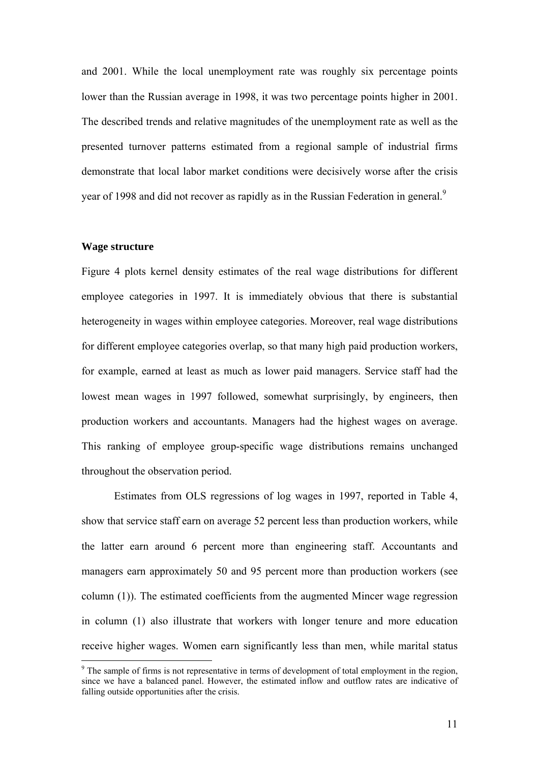and 2001. While the local unemployment rate was roughly six percentage points lower than the Russian average in 1998, it was two percentage points higher in 2001. The described trends and relative magnitudes of the unemployment rate as well as the presented turnover patterns estimated from a regional sample of industrial firms demonstrate that local labor market conditions were decisively worse after the crisis year of 1[9](#page-10-0)98 and did not recover as rapidly as in the Russian Federation in general.<sup>9</sup>

#### **Wage structure**

 $\overline{a}$ 

Figure 4 plots kernel density estimates of the real wage distributions for different employee categories in 1997. It is immediately obvious that there is substantial heterogeneity in wages within employee categories. Moreover, real wage distributions for different employee categories overlap, so that many high paid production workers, for example, earned at least as much as lower paid managers. Service staff had the lowest mean wages in 1997 followed, somewhat surprisingly, by engineers, then production workers and accountants. Managers had the highest wages on average. This ranking of employee group-specific wage distributions remains unchanged throughout the observation period.

Estimates from OLS regressions of log wages in 1997, reported in Table 4, show that service staff earn on average 52 percent less than production workers, while the latter earn around 6 percent more than engineering staff. Accountants and managers earn approximately 50 and 95 percent more than production workers (see column (1)). The estimated coefficients from the augmented Mincer wage regression in column (1) also illustrate that workers with longer tenure and more education receive higher wages. Women earn significantly less than men, while marital status

<span id="page-10-0"></span><sup>&</sup>lt;sup>9</sup> The sample of firms is not representative in terms of development of total employment in the region, since we have a balanced panel. However, the estimated inflow and outflow rates are indicative of falling outside opportunities after the crisis.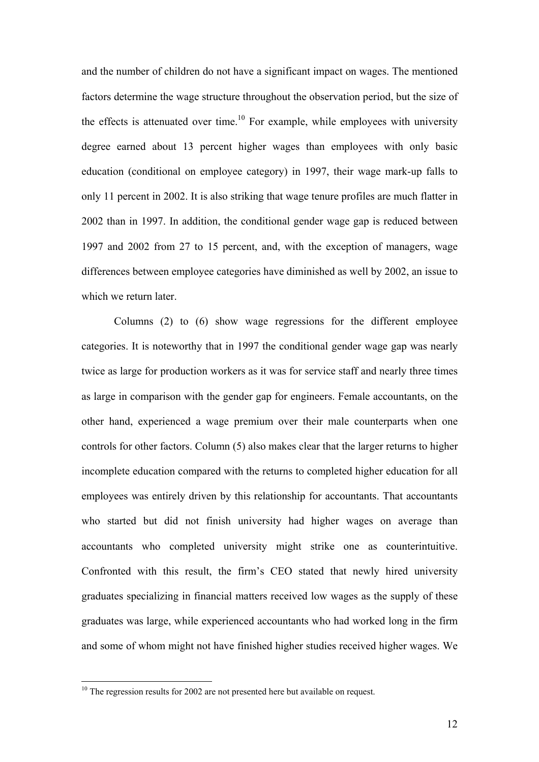and the number of children do not have a significant impact on wages. The mentioned factors determine the wage structure throughout the observation period, but the size of the effects is attenuated over time.<sup>10</sup> For example, while employees with university degree earned about 13 percent higher wages than employees with only basic education (conditional on employee category) in 1997, their wage mark-up falls to only 11 percent in 2002. It is also striking that wage tenure profiles are much flatter in 2002 than in 1997. In addition, the conditional gender wage gap is reduced between 1997 and 2002 from 27 to 15 percent, and, with the exception of managers, wage differences between employee categories have diminished as well by 2002, an issue to which we return later.

Columns (2) to (6) show wage regressions for the different employee categories. It is noteworthy that in 1997 the conditional gender wage gap was nearly twice as large for production workers as it was for service staff and nearly three times as large in comparison with the gender gap for engineers. Female accountants, on the other hand, experienced a wage premium over their male counterparts when one controls for other factors. Column (5) also makes clear that the larger returns to higher incomplete education compared with the returns to completed higher education for all employees was entirely driven by this relationship for accountants. That accountants who started but did not finish university had higher wages on average than accountants who completed university might strike one as counterintuitive. Confronted with this result, the firm's CEO stated that newly hired university graduates specializing in financial matters received low wages as the supply of these graduates was large, while experienced accountants who had worked long in the firm and some of whom might not have finished higher studies received higher wages. We

<span id="page-11-0"></span> $10$  The regression results for 2002 are not presented here but available on request.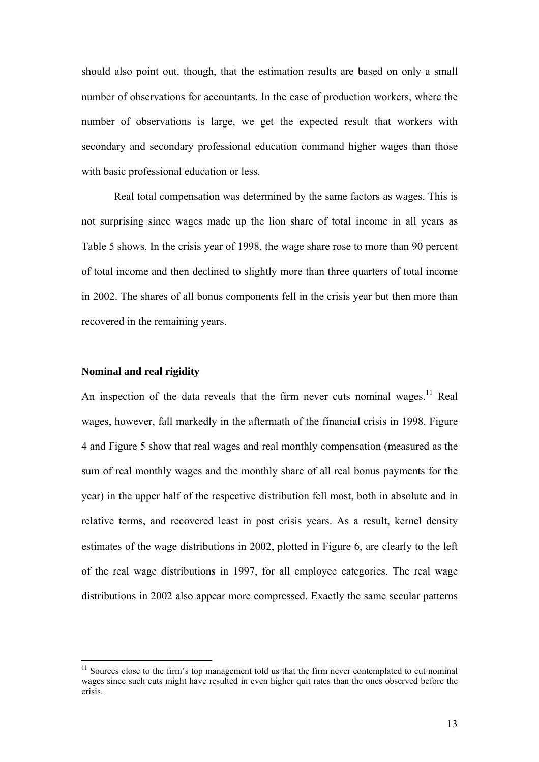should also point out, though, that the estimation results are based on only a small number of observations for accountants. In the case of production workers, where the number of observations is large, we get the expected result that workers with secondary and secondary professional education command higher wages than those with basic professional education or less.

Real total compensation was determined by the same factors as wages. This is not surprising since wages made up the lion share of total income in all years as Table 5 shows. In the crisis year of 1998, the wage share rose to more than 90 percent of total income and then declined to slightly more than three quarters of total income in 2002. The shares of all bonus components fell in the crisis year but then more than recovered in the remaining years.

## **Nominal and real rigidity**

 $\overline{a}$ 

An inspection of the data reveals that the firm never cuts nominal wages.<sup>11</sup> Real wages, however, fall markedly in the aftermath of the financial crisis in 1998. Figure 4 and Figure 5 show that real wages and real monthly compensation (measured as the sum of real monthly wages and the monthly share of all real bonus payments for the year) in the upper half of the respective distribution fell most, both in absolute and in relative terms, and recovered least in post crisis years. As a result, kernel density estimates of the wage distributions in 2002, plotted in Figure 6, are clearly to the left of the real wage distributions in 1997, for all employee categories. The real wage distributions in 2002 also appear more compressed. Exactly the same secular patterns

<span id="page-12-0"></span> $11$  Sources close to the firm's top management told us that the firm never contemplated to cut nominal wages since such cuts might have resulted in even higher quit rates than the ones observed before the crisis.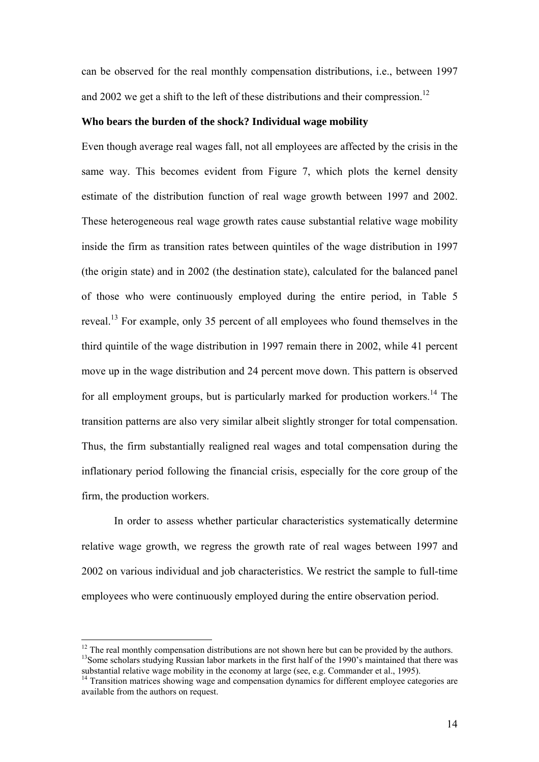can be observed for the real monthly compensation distributions, i.e., between 1997 and 2002 we get a shift to the left of these distributions and their compression.<sup>12</sup>

#### **Who bears the burden of the shock? Individual wage mobility**

Even though average real wages fall, not all employees are affected by the crisis in the same way. This becomes evident from Figure 7, which plots the kernel density estimate of the distribution function of real wage growth between 1997 and 2002. These heterogeneous real wage growth rates cause substantial relative wage mobility inside the firm as transition rates between quintiles of the wage distribution in 1997 (the origin state) and in 2002 (the destination state), calculated for the balanced panel of those who were continuously employed during the entire period, in Table 5 reveal[.13](#page-13-1) For example, only 35 percent of all employees who found themselves in the third quintile of the wage distribution in 1997 remain there in 2002, while 41 percent move up in the wage distribution and 24 percent move down. This pattern is observed for all employment groups, but is particularly marked for production workers.<sup>14</sup> The transition patterns are also very similar albeit slightly stronger for total compensation. Thus, the firm substantially realigned real wages and total compensation during the inflationary period following the financial crisis, especially for the core group of the firm, the production workers.

In order to assess whether particular characteristics systematically determine relative wage growth, we regress the growth rate of real wages between 1997 and 2002 on various individual and job characteristics. We restrict the sample to full-time employees who were continuously employed during the entire observation period.

<span id="page-13-1"></span><span id="page-13-0"></span><sup>&</sup>lt;sup>12</sup> The real monthly compensation distributions are not shown here but can be provided by the authors. <sup>13</sup> Some scholars studying Russian labor markets in the first half of the 1990's maintained that there was substantial relative wage mobility in the economy at large (see, e.g. Commander et al., 1995).<br><sup>14</sup> Transition matrices showing wage and compensation dynamics for different employee categories are

<span id="page-13-2"></span>available from the authors on request.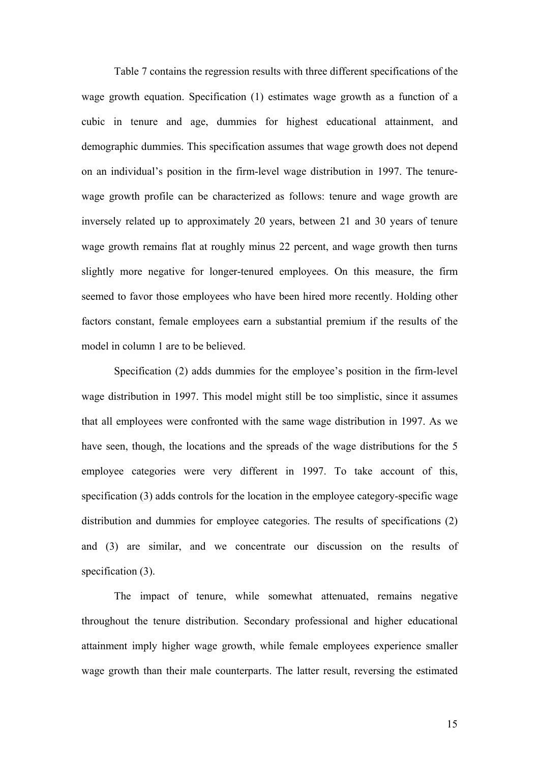Table 7 contains the regression results with three different specifications of the wage growth equation. Specification (1) estimates wage growth as a function of a cubic in tenure and age, dummies for highest educational attainment, and demographic dummies. This specification assumes that wage growth does not depend on an individual's position in the firm-level wage distribution in 1997. The tenurewage growth profile can be characterized as follows: tenure and wage growth are inversely related up to approximately 20 years, between 21 and 30 years of tenure wage growth remains flat at roughly minus 22 percent, and wage growth then turns slightly more negative for longer-tenured employees. On this measure, the firm seemed to favor those employees who have been hired more recently. Holding other factors constant, female employees earn a substantial premium if the results of the model in column 1 are to be believed.

Specification (2) adds dummies for the employee's position in the firm-level wage distribution in 1997. This model might still be too simplistic, since it assumes that all employees were confronted with the same wage distribution in 1997. As we have seen, though, the locations and the spreads of the wage distributions for the 5 employee categories were very different in 1997. To take account of this, specification (3) adds controls for the location in the employee category-specific wage distribution and dummies for employee categories. The results of specifications (2) and (3) are similar, and we concentrate our discussion on the results of specification (3).

The impact of tenure, while somewhat attenuated, remains negative throughout the tenure distribution. Secondary professional and higher educational attainment imply higher wage growth, while female employees experience smaller wage growth than their male counterparts. The latter result, reversing the estimated

15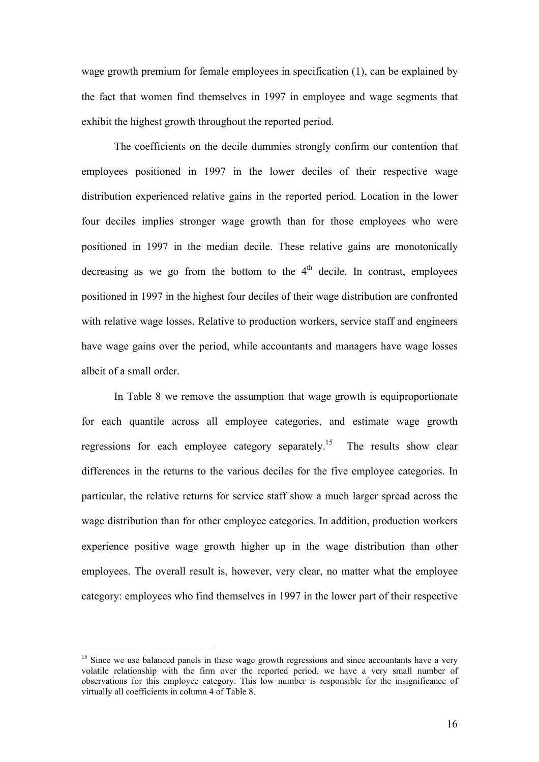wage growth premium for female employees in specification (1), can be explained by the fact that women find themselves in 1997 in employee and wage segments that exhibit the highest growth throughout the reported period.

The coefficients on the decile dummies strongly confirm our contention that employees positioned in 1997 in the lower deciles of their respective wage distribution experienced relative gains in the reported period. Location in the lower four deciles implies stronger wage growth than for those employees who were positioned in 1997 in the median decile. These relative gains are monotonically decreasing as we go from the bottom to the  $4<sup>th</sup>$  decile. In contrast, employees positioned in 1997 in the highest four deciles of their wage distribution are confronted with relative wage losses. Relative to production workers, service staff and engineers have wage gains over the period, while accountants and managers have wage losses albeit of a small order.

In Table 8 we remove the assumption that wage growth is equiproportionate for each quantile across all employee categories, and estimate wage growth regressions for each employee category separately.<sup>15</sup> The results show clear differences in the returns to the various deciles for the five employee categories. In particular, the relative returns for service staff show a much larger spread across the wage distribution than for other employee categories. In addition, production workers experience positive wage growth higher up in the wage distribution than other employees. The overall result is, however, very clear, no matter what the employee category: employees who find themselves in 1997 in the lower part of their respective

<span id="page-15-0"></span><sup>&</sup>lt;sup>15</sup> Since we use balanced panels in these wage growth regressions and since accountants have a very volatile relationship with the firm over the reported period, we have a very small number of observations for this employee category. This low number is responsible for the insignificance of virtually all coefficients in column 4 of Table 8.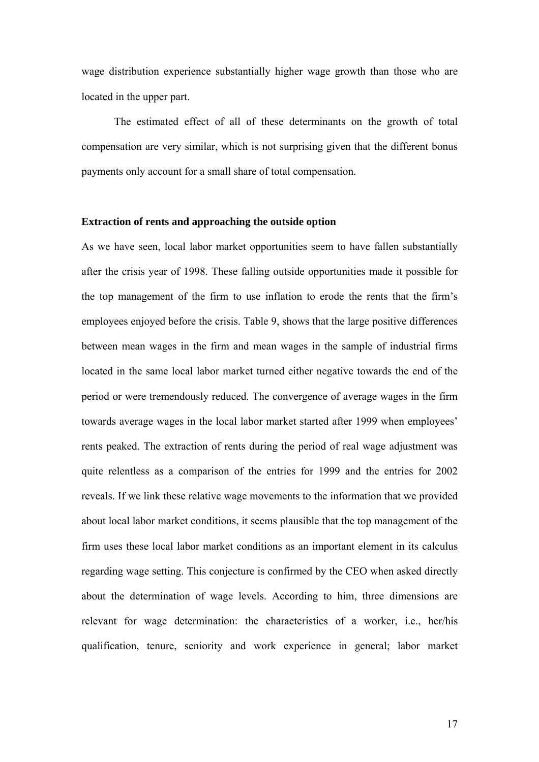wage distribution experience substantially higher wage growth than those who are located in the upper part.

The estimated effect of all of these determinants on the growth of total compensation are very similar, which is not surprising given that the different bonus payments only account for a small share of total compensation.

#### **Extraction of rents and approaching the outside option**

As we have seen, local labor market opportunities seem to have fallen substantially after the crisis year of 1998. These falling outside opportunities made it possible for the top management of the firm to use inflation to erode the rents that the firm's employees enjoyed before the crisis. Table 9, shows that the large positive differences between mean wages in the firm and mean wages in the sample of industrial firms located in the same local labor market turned either negative towards the end of the period or were tremendously reduced. The convergence of average wages in the firm towards average wages in the local labor market started after 1999 when employees' rents peaked. The extraction of rents during the period of real wage adjustment was quite relentless as a comparison of the entries for 1999 and the entries for 2002 reveals. If we link these relative wage movements to the information that we provided about local labor market conditions, it seems plausible that the top management of the firm uses these local labor market conditions as an important element in its calculus regarding wage setting. This conjecture is confirmed by the CEO when asked directly about the determination of wage levels. According to him, three dimensions are relevant for wage determination: the characteristics of a worker, i.e., her/his qualification, tenure, seniority and work experience in general; labor market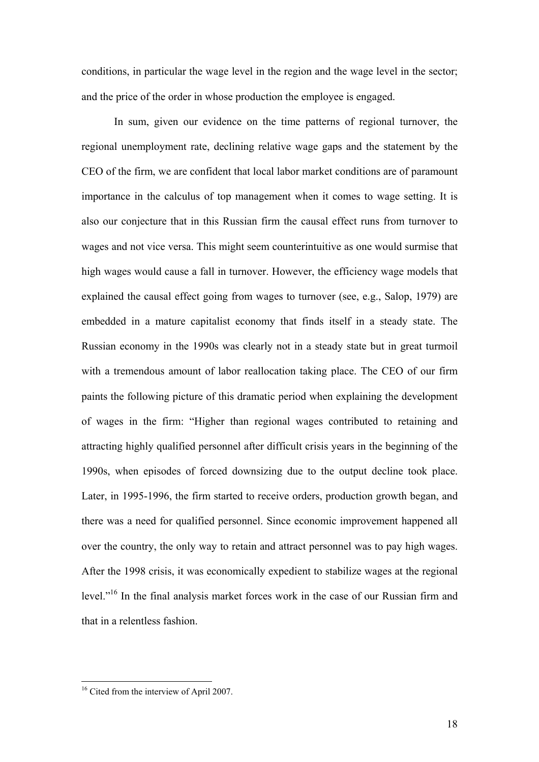conditions, in particular the wage level in the region and the wage level in the sector; and the price of the order in whose production the employee is engaged.

In sum, given our evidence on the time patterns of regional turnover, the regional unemployment rate, declining relative wage gaps and the statement by the CEO of the firm, we are confident that local labor market conditions are of paramount importance in the calculus of top management when it comes to wage setting. It is also our conjecture that in this Russian firm the causal effect runs from turnover to wages and not vice versa. This might seem counterintuitive as one would surmise that high wages would cause a fall in turnover. However, the efficiency wage models that explained the causal effect going from wages to turnover (see, e.g., Salop, 1979) are embedded in a mature capitalist economy that finds itself in a steady state. The Russian economy in the 1990s was clearly not in a steady state but in great turmoil with a tremendous amount of labor reallocation taking place. The CEO of our firm paints the following picture of this dramatic period when explaining the development of wages in the firm: "Higher than regional wages contributed to retaining and attracting highly qualified personnel after difficult crisis years in the beginning of the 1990s, when episodes of forced downsizing due to the output decline took place. Later, in 1995-1996, the firm started to receive orders, production growth began, and there was a need for qualified personnel. Since economic improvement happened all over the country, the only way to retain and attract personnel was to pay high wages. After the 1998 crisis, it was economically expedient to stabilize wages at the regional level."<sup>16</sup> In the final analysis market forces work in the case of our Russian firm and that in a relentless fashion.

<span id="page-17-0"></span><sup>&</sup>lt;sup>16</sup> Cited from the interview of April 2007.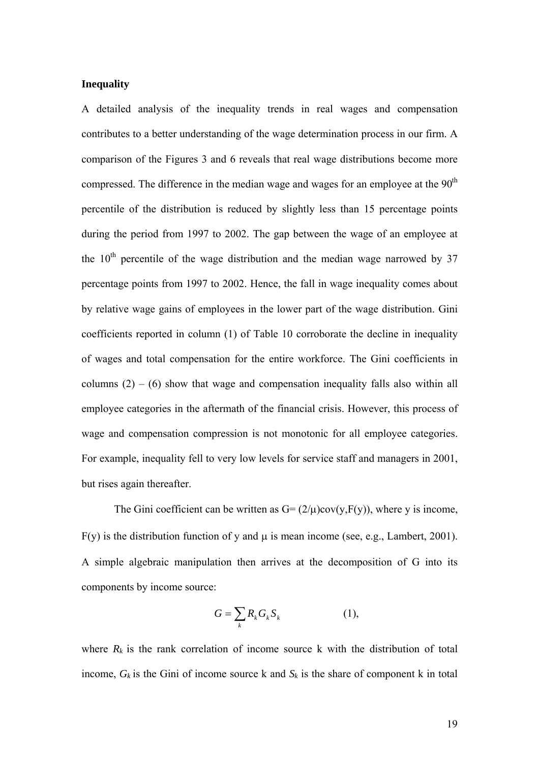## **Inequality**

A detailed analysis of the inequality trends in real wages and compensation contributes to a better understanding of the wage determination process in our firm. A comparison of the Figures 3 and 6 reveals that real wage distributions become more compressed. The difference in the median wage and wages for an employee at the  $90<sup>th</sup>$ percentile of the distribution is reduced by slightly less than 15 percentage points during the period from 1997 to 2002. The gap between the wage of an employee at the  $10<sup>th</sup>$  percentile of the wage distribution and the median wage narrowed by 37 percentage points from 1997 to 2002. Hence, the fall in wage inequality comes about by relative wage gains of employees in the lower part of the wage distribution. Gini coefficients reported in column (1) of Table 10 corroborate the decline in inequality of wages and total compensation for the entire workforce. The Gini coefficients in columns  $(2) - (6)$  show that wage and compensation inequality falls also within all employee categories in the aftermath of the financial crisis. However, this process of wage and compensation compression is not monotonic for all employee categories. For example, inequality fell to very low levels for service staff and managers in 2001, but rises again thereafter.

The Gini coefficient can be written as  $G = (2/\mu)cov(y, F(y))$ , where y is income,  $F(y)$  is the distribution function of y and  $\mu$  is mean income (see, e.g., Lambert, 2001). A simple algebraic manipulation then arrives at the decomposition of G into its components by income source:

$$
G = \sum_{k} R_{k} G_{k} S_{k} \tag{1},
$$

where  $R_k$  is the rank correlation of income source k with the distribution of total income,  $G_k$  is the Gini of income source k and  $S_k$  is the share of component k in total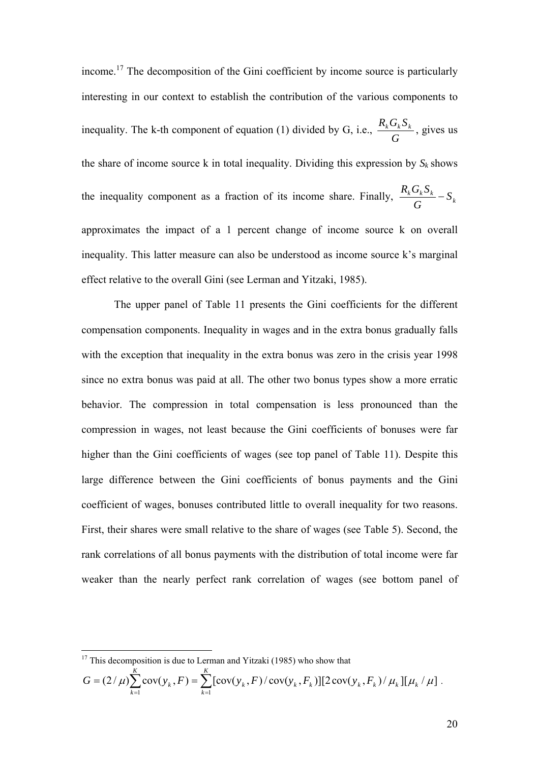income.<sup>17</sup> The decomposition of the Gini coefficient by income source is particularly interesting in our context to establish the contribution of the various components to inequality. The k-th component of equation (1) divided by G, i.e.,  $\frac{R_k G_l}{G}$  $\frac{R_k G_k S_k}{\sigma}$ , gives us the share of income source k in total inequality. Dividing this expression by  $S_k$  shows the inequality component as a fraction of its income share. Finally,  $\frac{R_k G_k B_k}{G} - S_k$ *G*  $\frac{R_k G_k S_k}{T}$  – approximates the impact of a 1 percent change of income source k on overall inequality. This latter measure can also be understood as income source k's marginal effect relative to the overall Gini (see Lerman and Yitzaki, 1985).

The upper panel of Table 11 presents the Gini coefficients for the different compensation components. Inequality in wages and in the extra bonus gradually falls with the exception that inequality in the extra bonus was zero in the crisis year 1998 since no extra bonus was paid at all. The other two bonus types show a more erratic behavior. The compression in total compensation is less pronounced than the compression in wages, not least because the Gini coefficients of bonuses were far higher than the Gini coefficients of wages (see top panel of Table 11). Despite this large difference between the Gini coefficients of bonus payments and the Gini coefficient of wages, bonuses contributed little to overall inequality for two reasons. First, their shares were small relative to the share of wages (see Table 5). Second, the rank correlations of all bonus payments with the distribution of total income were far weaker than the nearly perfect rank correlation of wages (see bottom panel of

$$
G = (2/\mu) \sum_{k=1}^{K} cov(y_k, F) = \sum_{k=1}^{K} [cov(y_k, F) / cov(y_k, F_k)][2 cov(y_k, F_k) / \mu_k][\mu_k / \mu].
$$

<span id="page-19-0"></span> $17$  This decomposition is due to Lerman and Yitzaki (1985) who show that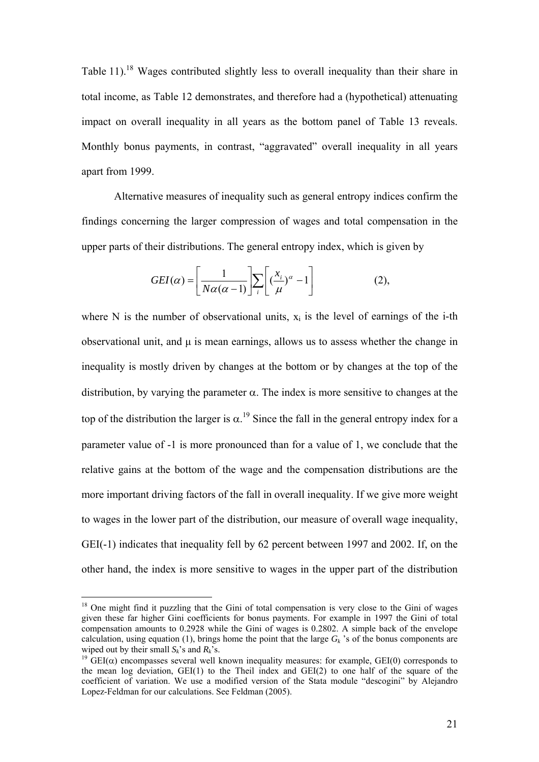Table 11).<sup>18</sup> Wages contributed slightly less to overall inequality than their share in total income, as Table 12 demonstrates, and therefore had a (hypothetical) attenuating impact on overall inequality in all years as the bottom panel of Table 13 reveals. Monthly bonus payments, in contrast, "aggravated" overall inequality in all years apart from 1999.

Alternative measures of inequality such as general entropy indices confirm the findings concerning the larger compression of wages and total compensation in the upper parts of their distributions. The general entropy index, which is given by

$$
GEI(\alpha) = \left[\frac{1}{N\alpha(\alpha-1)}\right] \sum_{i} \left[\left(\frac{x_i}{\mu}\right)^{\alpha} - 1\right]
$$
 (2),

where N is the number of observational units,  $x_i$  is the level of earnings of the i-th observational unit, and  $\mu$  is mean earnings, allows us to assess whether the change in inequality is mostly driven by changes at the bottom or by changes at the top of the distribution, by varying the parameter  $\alpha$ . The index is more sensitive to changes at the top of the distribution the larger is  $\alpha$ .<sup>19</sup> Since the fall in the general entropy index for a parameter value of -1 is more pronounced than for a value of 1, we conclude that the relative gains at the bottom of the wage and the compensation distributions are the more important driving factors of the fall in overall inequality. If we give more weight to wages in the lower part of the distribution, our measure of overall wage inequality, GEI(-1) indicates that inequality fell by 62 percent between 1997 and 2002. If, on the other hand, the index is more sensitive to wages in the upper part of the distribution

<span id="page-20-0"></span><sup>&</sup>lt;sup>18</sup> One might find it puzzling that the Gini of total compensation is very close to the Gini of wages given these far higher Gini coefficients for bonus payments. For example in 1997 the Gini of total compensation amounts to 0.2928 while the Gini of wages is 0.2802. A simple back of the envelope calculation, using equation (1), brings home the point that the large  $G_k$  's of the bonus components are wiped out by their small  $S_k$ 's and  $R_k$ 's.

<span id="page-20-1"></span><sup>&</sup>lt;sup>19</sup>  $GELI(\alpha)$  encompasses several well known inequality measures: for example,  $GEL(0)$  corresponds to the mean log deviation, GEI(1) to the Theil index and GEI(2) to one half of the square of the coefficient of variation. We use a modified version of the Stata module "descogini" by Alejandro Lopez-Feldman for our calculations. See Feldman (2005).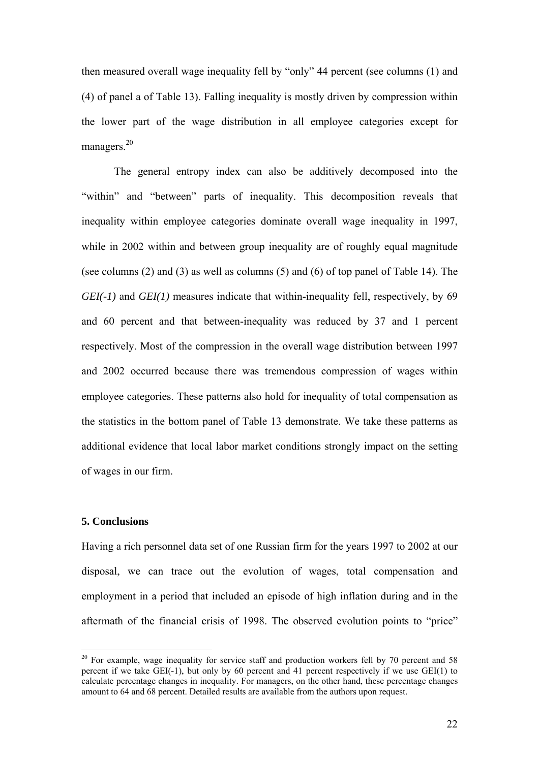then measured overall wage inequality fell by "only" 44 percent (see columns (1) and (4) of panel a of Table 13). Falling inequality is mostly driven by compression within the lower part of the wage distribution in all employee categories except for managers.<sup>20</sup>

The general entropy index can also be additively decomposed into the "within" and "between" parts of inequality. This decomposition reveals that inequality within employee categories dominate overall wage inequality in 1997, while in 2002 within and between group inequality are of roughly equal magnitude (see columns (2) and (3) as well as columns (5) and (6) of top panel of Table 14). The *GEI(-1)* and *GEI(1)* measures indicate that within-inequality fell, respectively, by 69 and 60 percent and that between-inequality was reduced by 37 and 1 percent respectively. Most of the compression in the overall wage distribution between 1997 and 2002 occurred because there was tremendous compression of wages within employee categories. These patterns also hold for inequality of total compensation as the statistics in the bottom panel of Table 13 demonstrate. We take these patterns as additional evidence that local labor market conditions strongly impact on the setting of wages in our firm.

#### **5. Conclusions**

Having a rich personnel data set of one Russian firm for the years 1997 to 2002 at our disposal, we can trace out the evolution of wages, total compensation and employment in a period that included an episode of high inflation during and in the aftermath of the financial crisis of 1998. The observed evolution points to "price"

<span id="page-21-0"></span> $20$  For example, wage inequality for service staff and production workers fell by 70 percent and 58 percent if we take  $\widehat{G}E I(-1)$ , but only by 60 percent and 41 percent respectively if we use  $\widehat{G}E I(1)$  to calculate percentage changes in inequality. For managers, on the other hand, these percentage changes amount to 64 and 68 percent. Detailed results are available from the authors upon request.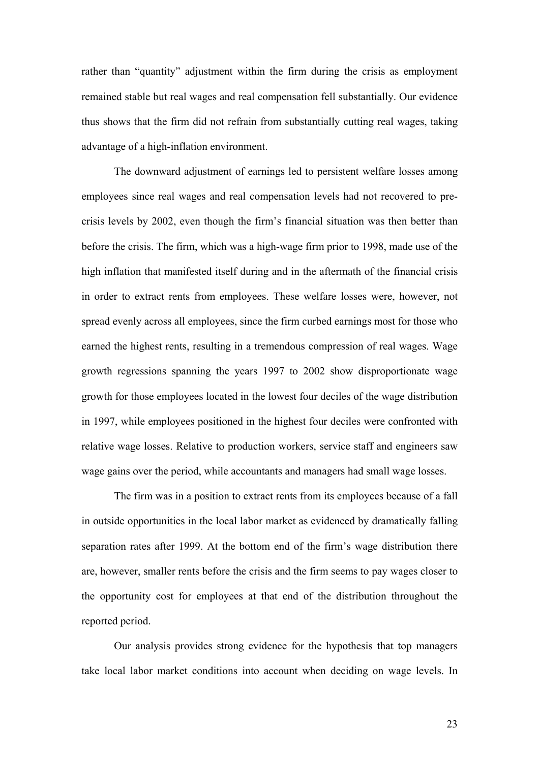rather than "quantity" adjustment within the firm during the crisis as employment remained stable but real wages and real compensation fell substantially. Our evidence thus shows that the firm did not refrain from substantially cutting real wages, taking advantage of a high-inflation environment.

The downward adjustment of earnings led to persistent welfare losses among employees since real wages and real compensation levels had not recovered to precrisis levels by 2002, even though the firm's financial situation was then better than before the crisis. The firm, which was a high-wage firm prior to 1998, made use of the high inflation that manifested itself during and in the aftermath of the financial crisis in order to extract rents from employees. These welfare losses were, however, not spread evenly across all employees, since the firm curbed earnings most for those who earned the highest rents, resulting in a tremendous compression of real wages. Wage growth regressions spanning the years 1997 to 2002 show disproportionate wage growth for those employees located in the lowest four deciles of the wage distribution in 1997, while employees positioned in the highest four deciles were confronted with relative wage losses. Relative to production workers, service staff and engineers saw wage gains over the period, while accountants and managers had small wage losses.

The firm was in a position to extract rents from its employees because of a fall in outside opportunities in the local labor market as evidenced by dramatically falling separation rates after 1999. At the bottom end of the firm's wage distribution there are, however, smaller rents before the crisis and the firm seems to pay wages closer to the opportunity cost for employees at that end of the distribution throughout the reported period.

Our analysis provides strong evidence for the hypothesis that top managers take local labor market conditions into account when deciding on wage levels. In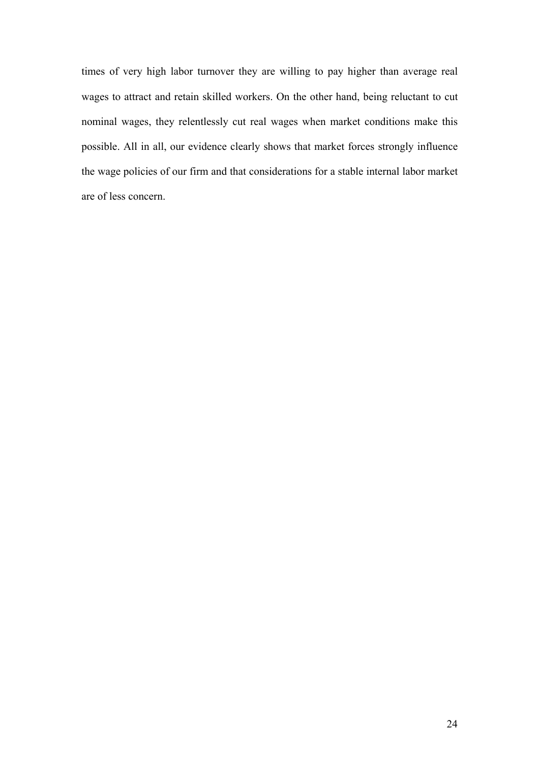times of very high labor turnover they are willing to pay higher than average real wages to attract and retain skilled workers. On the other hand, being reluctant to cut nominal wages, they relentlessly cut real wages when market conditions make this possible. All in all, our evidence clearly shows that market forces strongly influence the wage policies of our firm and that considerations for a stable internal labor market are of less concern.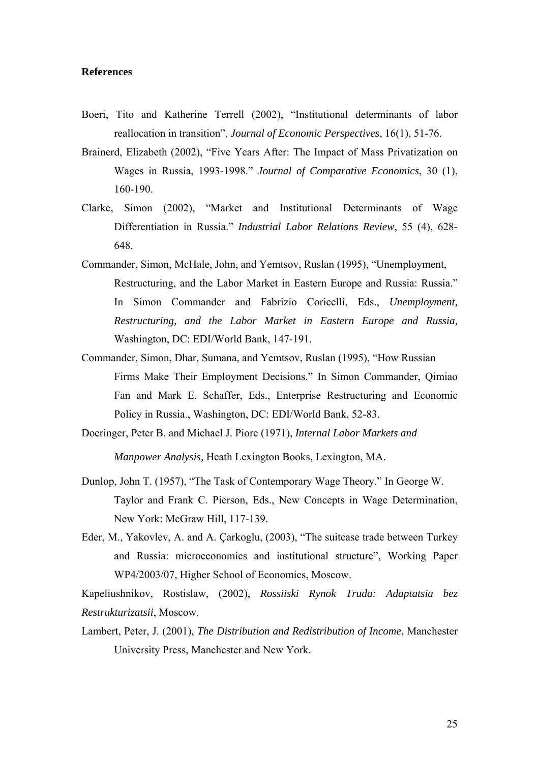### **References**

- Boeri, Tito and Katherine Terrell (2002), "Institutional determinants of labor reallocation in transition", *Journal of Economic Perspectives*, 16(1), 51-76.
- Brainerd, Elizabeth (2002), "Five Years After: The Impact of Mass Privatization on Wages in Russia, 1993-1998." *Journal of Comparative Economics*, 30 (1), 160-190.
- Clarke, Simon (2002), "Market and Institutional Determinants of Wage Differentiation in Russia." *Industrial Labor Relations Review*, 55 (4), 628- 648.
- Commander, Simon, McHale, John, and Yemtsov, Ruslan (1995), "Unemployment, Restructuring, and the Labor Market in Eastern Europe and Russia: Russia." In Simon Commander and Fabrizio Coricelli, Eds., *Unemployment, Restructuring, and the Labor Market in Eastern Europe and Russia,*  Washington, DC: EDI/World Bank, 147-191.
- Commander, Simon, Dhar, Sumana, and Yemtsov, Ruslan (1995), "How Russian Firms Make Their Employment Decisions." In Simon Commander, Qimiao Fan and Mark E. Schaffer, Eds., Enterprise Restructuring and Economic Policy in Russia., Washington, DC: EDI/World Bank, 52-83.
- Doeringer, Peter B. and Michael J. Piore (1971), *Internal Labor Markets and*

*Manpower Analysis,* Heath Lexington Books, Lexington, MA.

- Dunlop, John T. (1957), "The Task of Contemporary Wage Theory." In George W. Taylor and Frank C. Pierson, Eds., New Concepts in Wage Determination, New York: McGraw Hill, 117-139.
- Eder, M., Yakovlev, A. and A. Çarkoglu, (2003), "The suitcase trade between Turkey and Russia: microeconomics and institutional structure", Working Paper WP4/2003/07, Higher School of Economics, Moscow.

Kapeliushnikov, Rostislaw, (2002), *Rossiiski Rynok Truda: Adaptatsia bez Restrukturizatsii*, Moscow.

Lambert, Peter, J. (2001), *The Distribution and Redistribution of Income*, Manchester University Press, Manchester and New York.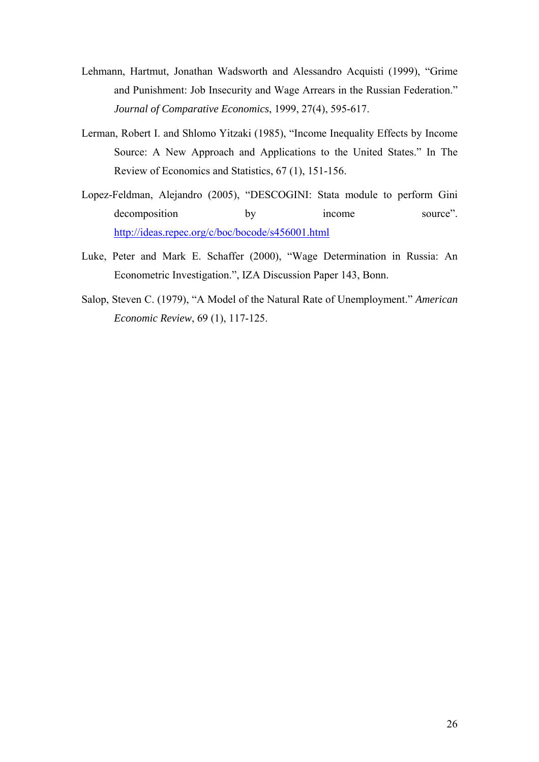- Lehmann, Hartmut, Jonathan Wadsworth and Alessandro Acquisti (1999), "Grime and Punishment: Job Insecurity and Wage Arrears in the Russian Federation." *Journal of Comparative Economics*, 1999, 27(4), 595-617.
- Lerman, Robert I. and Shlomo Yitzaki (1985), "Income Inequality Effects by Income Source: A New Approach and Applications to the United States." In The Review of Economics and Statistics, 67 (1), 151-156.
- Lopez-Feldman, Alejandro (2005), "DESCOGINI: Stata module to perform Gini decomposition by income source". <http://ideas.repec.org/c/boc/bocode/s456001.html>
- Luke, Peter and Mark E. Schaffer (2000), "Wage Determination in Russia: An Econometric Investigation.", IZA Discussion Paper 143, Bonn.
- Salop, Steven C. (1979), "A Model of the Natural Rate of Unemployment." *American Economic Review*, 69 (1), 117-125.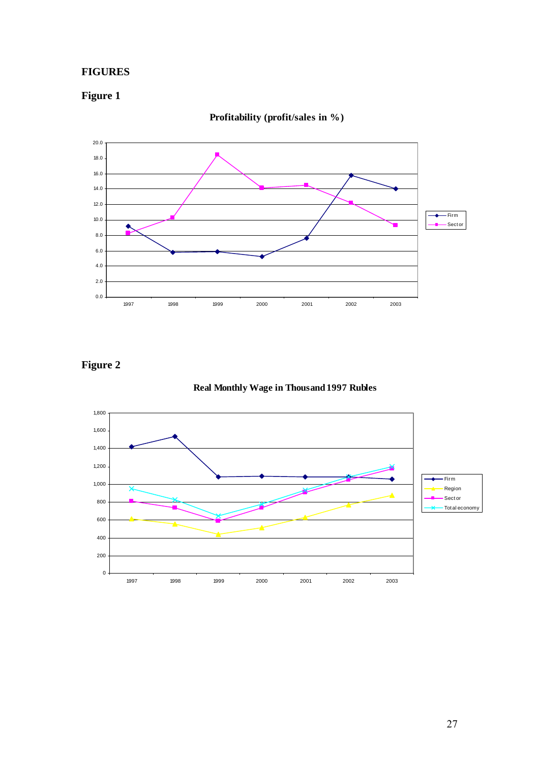## **FIGURES**

# **Figure 1**



**Profitability (profit/sales in %)**

# **Figure 2**



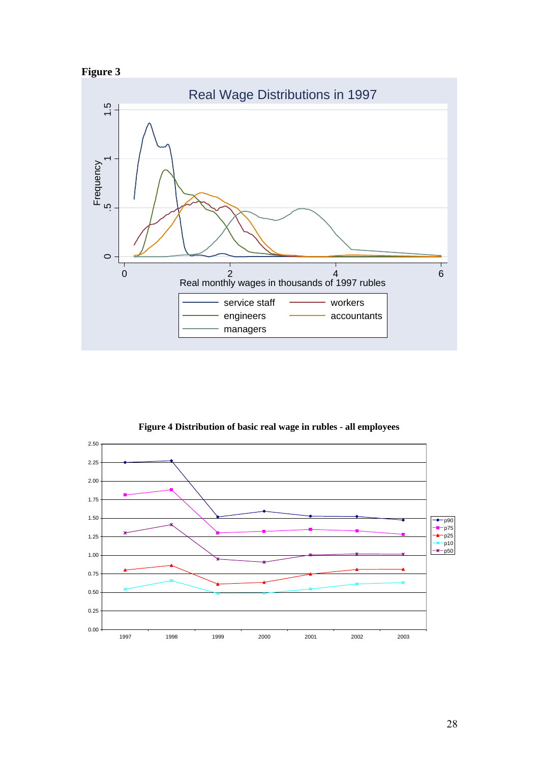





**Figure 4 Distribution of basic real wage in rubles - all employees**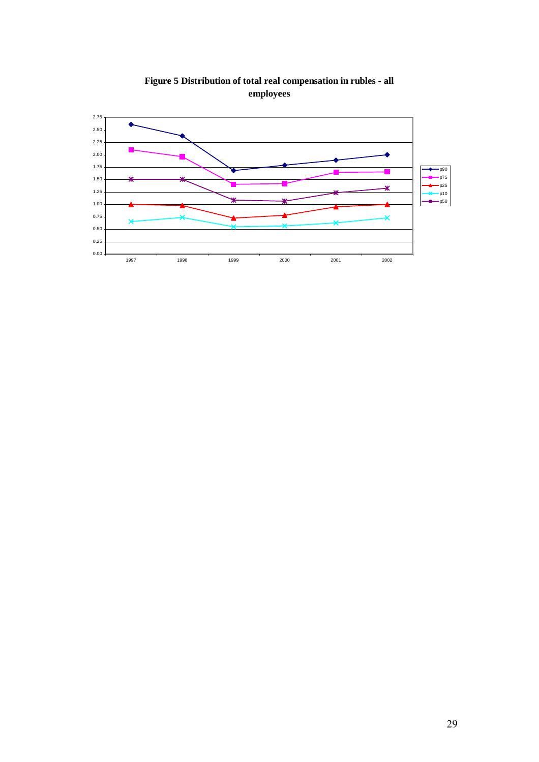

**Figure 5 Distribution of total real compensation in rubles - all employees**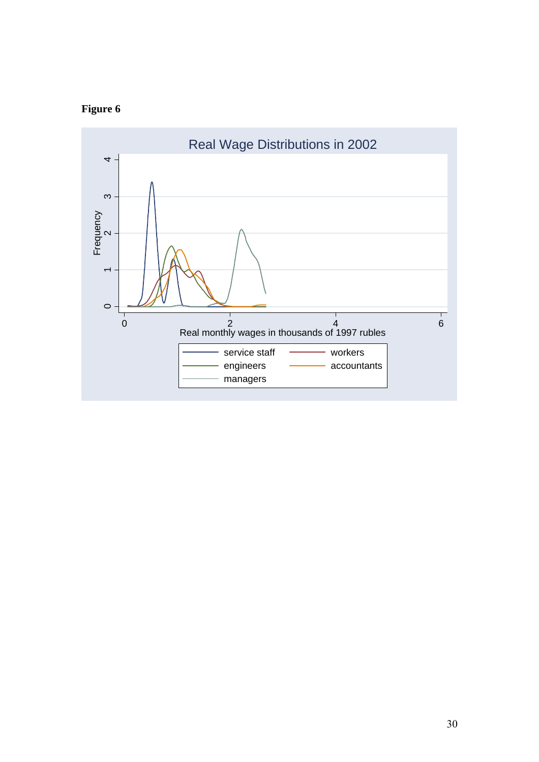# **Figure 6**

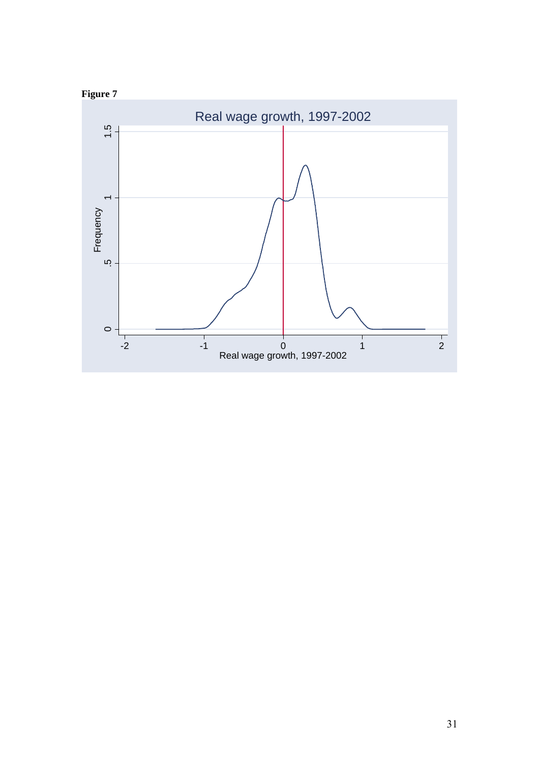

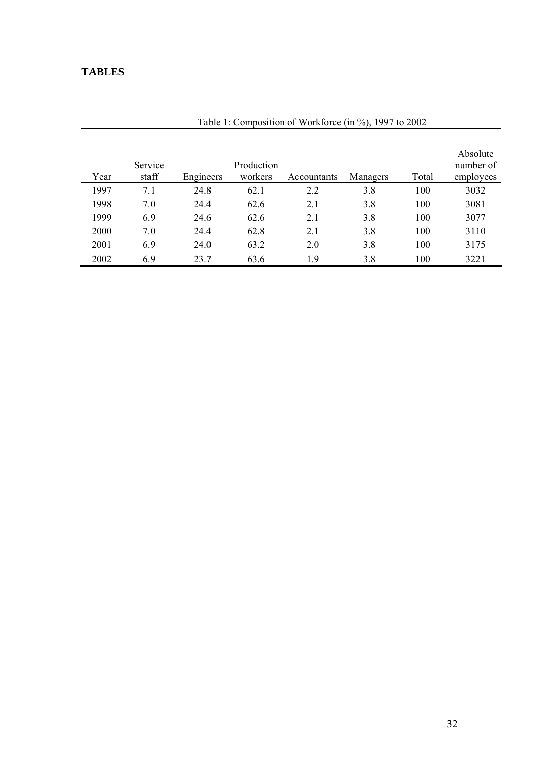# **TABLES**

| Year | Service<br>staff | Engineers | Production<br>workers | Accountants | Managers | Total | Absolute<br>number of<br>employees |
|------|------------------|-----------|-----------------------|-------------|----------|-------|------------------------------------|
| 1997 | 7.1              | 24.8      | 62.1                  | 2.2         | 3.8      | 100   | 3032                               |
| 1998 | 7.0              | 24.4      | 62.6                  | 2.1         | 3.8      | 100   | 3081                               |
| 1999 | 6.9              | 24.6      | 62.6                  | 2.1         | 3.8      | 100   | 3077                               |
| 2000 | 7.0              | 24.4      | 62.8                  | 2.1         | 3.8      | 100   | 3110                               |
| 2001 | 6.9              | 24.0      | 63.2                  | 2.0         | 3.8      | 100   | 3175                               |
| 2002 | 6.9              | 23.7      | 63.6                  | 1.9         | 3.8      | 100   | 3221                               |

Table 1: Composition of Workforce (in %), 1997 to 2002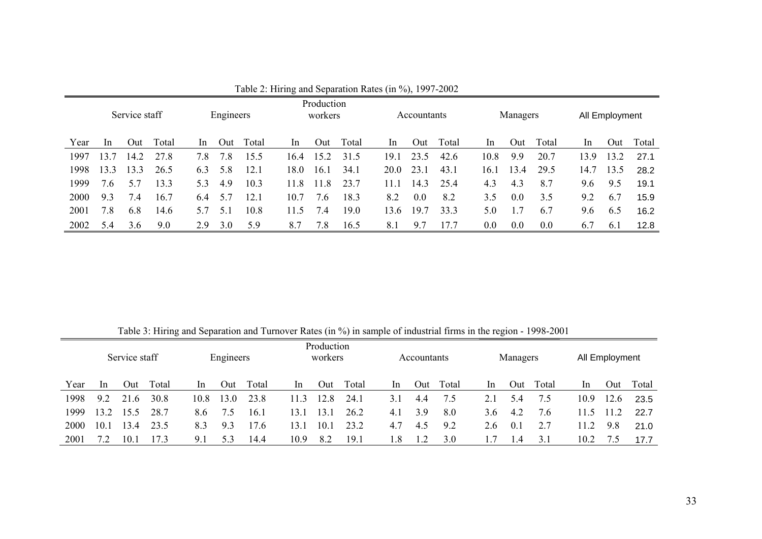| Production<br>Engineers<br>Service staff<br>workers |      |      |       |               |     |       |                | Accountants |       |      | Managers |       |         | All Employment |       |               |      |       |
|-----------------------------------------------------|------|------|-------|---------------|-----|-------|----------------|-------------|-------|------|----------|-------|---------|----------------|-------|---------------|------|-------|
| Year                                                | -ln  | Out  | Total | <sub>In</sub> | Out | Total | <sub>1</sub> n | Out         | Total | In.  | Out      | Total | In.     | Out            | Total | <sub>In</sub> | Out  | Total |
| 1997                                                | 13.7 | 14.2 | 27.8  | 7.8           | 7.8 | 15.5  | 164            | 15.2        | 31.5  | 191  | 23.5     | 42.6  | 10.8    | 9.9            | 20.7  | 13.9          | 13.2 | 27.1  |
| 1998                                                | 13.3 | 3.3  | 26.5  | 6.3           | 5.8 | 12.1  | 18.0           | 16.1        | 34.1  | 20.0 | 23.1     | 43.1  | 16.1    | 13.4           | 29.5  | 14.7          | 13.5 | 28.2  |
| 1999                                                | 7.6  | 57   | 13.3  | 53            | 4.9 | 10.3  | 11.8           | l 1.8       | 23.7  | 11 1 | 14.3     | 25.4  | 4.3     | 4.3            | 8.7   | 9.6           | 9.5  | 19.1  |
| 2000                                                | 9.3  | 7.4  | 16.7  | 6.4           | 5.7 | 12.1  | 10.7           | 7.6         | 18.3  | 8.2  | 0.0      | 8.2   | 3.5     | 0.0            | 3.5   | 9.2           | 6.7  | 15.9  |
| 2001                                                | 7.8  | 6.8  | 14.6  | 5.7           | 5.1 | 10.8  | 11.5           | 7.4         | 19.0  | 13.6 | 19.7     | 33.3  | 5.0     |                | 6.7   | 9.6           | 6.5  | 16.2  |
| 2002                                                | 5.4  | 3.6  | 9.0   | 2.9           | 3.0 | 5.9   | 8.7            | 7.8         | 16.5  | 8.1  | 9.7      | 17.7  | $0.0\,$ | 0.0            | 0.0   | 6.7           | 6.1  | 12.8  |

Table 2: Hiring and Separation Rates (in %), 1997-2002

Table 3: Hiring and Separation and Turnover Rates (in %) in sample of industrial firms in the region - 1998-2001

|      |                | Service staff |       |      | Engineers |       |      | Production<br>workers |       |     | Accountants |       |               | Managers |       |      | All Employment |       |
|------|----------------|---------------|-------|------|-----------|-------|------|-----------------------|-------|-----|-------------|-------|---------------|----------|-------|------|----------------|-------|
| Year | <sub>1</sub> n | Out           | Total | In.  | Out       | Total | -ln  | Out                   | Total | In  | Out         | Total | <sub>In</sub> | Out      | Total | In   | Out            | Total |
| 1998 | 9.2            | 21.6          | 30.8  | 10.8 | 13.0      | 23.8  | 11.3 | 12.8                  | 24.1  | 3.1 | 4.4         | 7.5   | 2.1           | 5.4      | 7.5   | 10.9 | 12.6           | 23.5  |
| 1999 | 3.2            | 15.5          | 28.7  | 8.6  | 7.5       | 16.1  | 13.1 | 13.1                  | 26.2  | 4.1 | 3.9         | 8.0   | 3.6           | 4.2      | 7.6   | 11.5 | 11.2           | 22.7  |
| 2000 | 10.1           | 13.4          | 23.5  | 8.3  | 9.3       | 17.6  | 13.1 | $10^{-}$              | 23.2  | 4.7 | 4.5         | 9.2   | 2.6           | 0.1      | 2.7   | 11 2 | 9.8            | 21.0  |
| 2001 | 7.2            | 10.1          | 173   | 9.1  | 5.3       | 14.4  | 10.9 | 8.2                   | 19.1  | . 8 |             | 3.0   |               | 4.4      | 3.1   | 10.2 |                | 17.7  |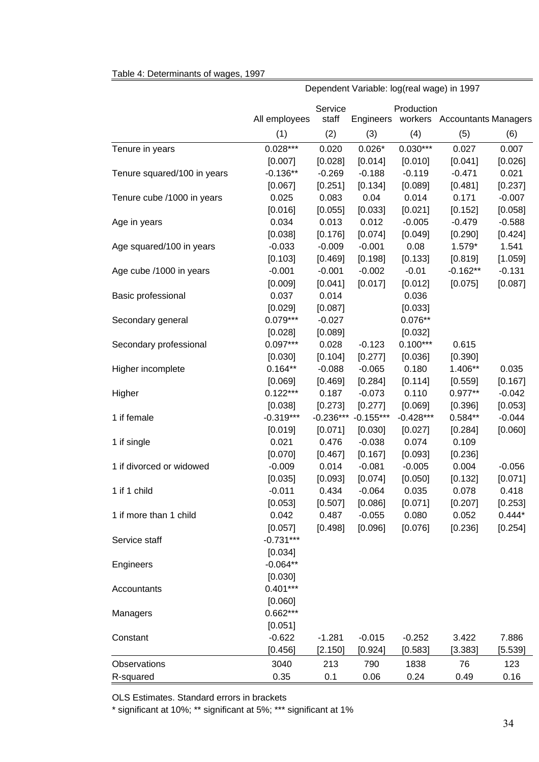#### Table 4: Determinants of wages, 1997

|                             | All employees    | Service<br>staff | Engineers           | Production       | workers Accountants Managers |                     |
|-----------------------------|------------------|------------------|---------------------|------------------|------------------------------|---------------------|
|                             | (1)              | (2)              | (3)                 | (4)              | (5)                          | (6)                 |
| Tenure in years             | $0.028***$       | 0.020            | $0.026*$            | $0.030***$       | 0.027                        | 0.007               |
|                             | [0.007]          | [0.028]          | [0.014]             | [0.010]          | [0.041]                      | [0.026]             |
| Tenure squared/100 in years | $-0.136**$       | $-0.269$         | $-0.188$            | $-0.119$         | $-0.471$                     | 0.021               |
|                             | [0.067]          | [0.251]          | [0.134]             | [0.089]          | [0.481]                      | [0.237]             |
| Tenure cube /1000 in years  | 0.025            | 0.083            | 0.04                | 0.014            | 0.171                        | $-0.007$            |
|                             | [0.016]          | [0.055]          | [0.033]             | [0.021]          | [0.152]                      | [0.058]             |
| Age in years                | 0.034            | 0.013            | 0.012               | $-0.005$         | $-0.479$                     | $-0.588$            |
|                             | [0.038]          | [0.176]          | [0.074]             | [0.049]          | [0.290]                      | [0.424]             |
| Age squared/100 in years    | $-0.033$         | $-0.009$         | $-0.001$            | 0.08             | 1.579*                       | 1.541               |
|                             | [0.103]          | [0.469]          | [0.198]             | [0.133]          | [0.819]                      | [1.059]             |
| Age cube /1000 in years     | $-0.001$         | $-0.001$         | $-0.002$            | $-0.01$          | $-0.162**$                   | $-0.131$            |
|                             | [0.009]          | [0.041]          | [0.017]             | [0.012]          | [0.075]                      | [0.087]             |
| Basic professional          | 0.037            | 0.014            |                     | 0.036            |                              |                     |
|                             | [0.029]          | [0.087]          |                     | [0.033]          |                              |                     |
| Secondary general           | $0.079***$       | $-0.027$         |                     | $0.076**$        |                              |                     |
|                             | [0.028]          | [0.089]          |                     | [0.032]          |                              |                     |
| Secondary professional      | $0.097***$       | 0.028            | $-0.123$            | $0.100***$       | 0.615                        |                     |
|                             | [0.030]          | [0.104]          | [0.277]             | [0.036]          | [0.390]                      |                     |
| Higher incomplete           | $0.164**$        | $-0.088$         | $-0.065$            | 0.180            | 1.406**                      | 0.035               |
|                             | [0.069]          | [0.469]          | [0.284]             | [0.114]          | [0.559]                      | [0.167]             |
| Higher                      | $0.122***$       | 0.187            | $-0.073$            | 0.110            | $0.977**$                    | $-0.042$            |
|                             | [0.038]          | [0.273]          | [0.277]             | [0.069]          | [0.396]                      | [0.053]             |
| 1 if female                 | $-0.319***$      | $-0.236***$      | $-0.155***$         | $-0.428***$      | $0.584**$                    | $-0.044$            |
|                             | [0.019]          | [0.071]          | [0.030]             | [0.027]          | [0.284]                      | [0.060]             |
| 1 if single                 | 0.021            | 0.476            | $-0.038$            | 0.074            | 0.109                        |                     |
|                             | [0.070]          | [0.467]          | [0.167]             | [0.093]          | [0.236]                      |                     |
| 1 if divorced or widowed    | $-0.009$         | 0.014            | $-0.081$            | $-0.005$         | 0.004                        | $-0.056$            |
|                             | [0.035]          | [0.093]          | [0.074]             | [0.050]          | [0.132]                      | [0.071]             |
| 1 if 1 child                | $-0.011$         | 0.434            | $-0.064$            | 0.035            | 0.078                        | 0.418               |
| 1 if more than 1 child      | [0.053]<br>0.042 | [0.507]<br>0.487 | [0.086]<br>$-0.055$ | [0.071]<br>0.080 | [0.207]<br>0.052             | [0.253]<br>$0.444*$ |
|                             | [0.057]          | [0.498]          | [0.096]             | [0.076]          | [0.236]                      | [0.254]             |
| Service staff               | $-0.731***$      |                  |                     |                  |                              |                     |
|                             | [0.034]          |                  |                     |                  |                              |                     |
| Engineers                   | $-0.064**$       |                  |                     |                  |                              |                     |
|                             | [0.030]          |                  |                     |                  |                              |                     |
| Accountants                 | $0.401***$       |                  |                     |                  |                              |                     |
|                             | [0.060]          |                  |                     |                  |                              |                     |
| Managers                    | 0.662***         |                  |                     |                  |                              |                     |
|                             | [0.051]          |                  |                     |                  |                              |                     |
| Constant                    | $-0.622$         | $-1.281$         | $-0.015$            | $-0.252$         | 3.422                        | 7.886               |
|                             | [0.456]          | [2.150]          | [0.924]             | [0.583]          | $[3.383]$                    | [5.539]             |
| Observations                | 3040             | 213              | 790                 | 1838             | 76                           | 123                 |
| R-squared                   | 0.35             | 0.1              | 0.06                | 0.24             | 0.49                         | 0.16                |
|                             |                  |                  |                     |                  |                              |                     |

Dependent Variable: log(real wage) in 1997

OLS Estimates. Standard errors in brackets

\* significant at 10%; \*\* significant at 5%; \*\*\* significant at 1%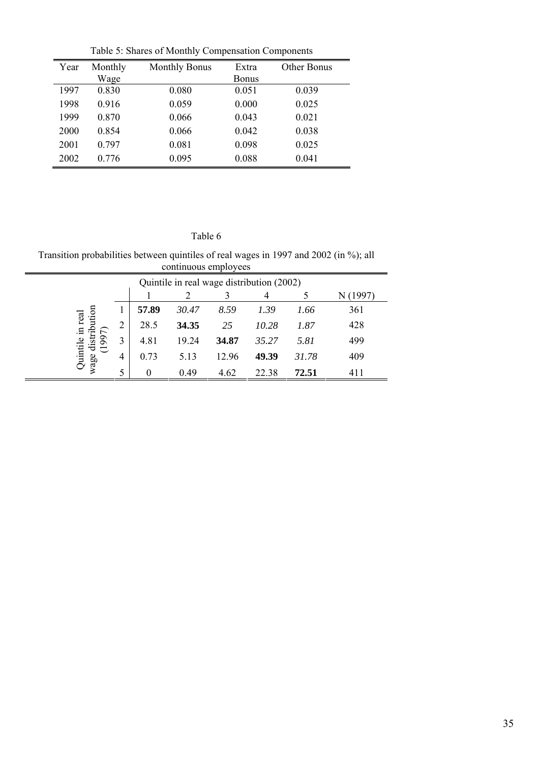|      |         | radio 9. Bliarcs of Monthly Compensation Components |              |             |
|------|---------|-----------------------------------------------------|--------------|-------------|
| Year | Monthly | <b>Monthly Bonus</b>                                | Extra        | Other Bonus |
|      | Wage    |                                                     | <b>Bonus</b> |             |
| 1997 | 0.830   | 0.080                                               | 0.051        | 0.039       |
| 1998 | 0.916   | 0.059                                               | 0.000        | 0.025       |
| 1999 | 0.870   | 0.066                                               | 0.043        | 0.021       |
| 2000 | 0.854   | 0.066                                               | 0.042        | 0.038       |
| 2001 | 0.797   | 0.081                                               | 0.098        | 0.025       |
| 2002 | 0.776   | 0.095                                               | 0.088        | 0.041       |
|      |         |                                                     |              |             |

Table 5: Shares of Monthly Compensation Components

## Table 6

Transition probabilities between quintiles of real wages in 1997 and 2002 (in %); all continuous employees 

 $\blacksquare$ 

|                        |   |       |       |       | Quintile in real wage distribution (2002) |       |          |
|------------------------|---|-------|-------|-------|-------------------------------------------|-------|----------|
|                        |   |       |       |       | 4                                         |       | N (1997) |
| tion                   |   | 57.89 | 30.47 | 8.59  | 1.39                                      | 1.66  | 361      |
| real<br>$\Xi$<br>ݠ.    | 2 | 28.5  | 34.35 | 25    | 10.28                                     | 1.87  | 428      |
| disi                   | 3 | 4.81  | 19.24 | 34.87 | 35.27                                     | 5.81  | 499      |
| <b>Quintil</b><br>wage | 4 | 0.73  | 5.13  | 12.96 | 49.39                                     | 31.78 | 409      |
|                        | 5 | 0     | 0.49  | 4.62  | 22.38                                     | 72.51 | 411      |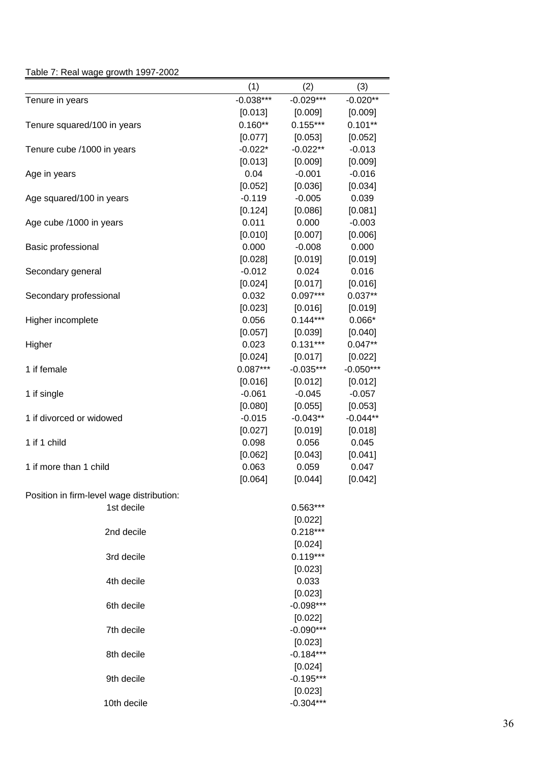## Table 7: Real wage growth 1997-2002

|                                           | (1)         | (2)         | (3)         |
|-------------------------------------------|-------------|-------------|-------------|
| Tenure in years                           | $-0.038***$ | $-0.029***$ | $-0.020**$  |
|                                           | [0.013]     | [0.009]     | [0.009]     |
| Tenure squared/100 in years               | $0.160**$   | $0.155***$  | $0.101**$   |
|                                           | [0.077]     | [0.053]     | [0.052]     |
| Tenure cube /1000 in years                | $-0.022*$   | $-0.022**$  | $-0.013$    |
|                                           | [0.013]     | [0.009]     | [0.009]     |
| Age in years                              | 0.04        | $-0.001$    | $-0.016$    |
|                                           | [0.052]     | [0.036]     | [0.034]     |
| Age squared/100 in years                  | $-0.119$    | $-0.005$    | 0.039       |
|                                           | [0.124]     | [0.086]     | [0.081]     |
| Age cube /1000 in years                   | 0.011       | 0.000       | $-0.003$    |
|                                           | [0.010]     | [0.007]     | [0.006]     |
| Basic professional                        | 0.000       | $-0.008$    | 0.000       |
|                                           | [0.028]     | [0.019]     | [0.019]     |
| Secondary general                         | $-0.012$    | 0.024       | 0.016       |
|                                           | [0.024]     | [0.017]     | [0.016]     |
| Secondary professional                    | 0.032       | $0.097***$  | $0.037**$   |
|                                           | [0.023]     | [0.016]     | [0.019]     |
| Higher incomplete                         | 0.056       | $0.144***$  | $0.066*$    |
|                                           | [0.057]     | [0.039]     | [0.040]     |
| Higher                                    | 0.023       | $0.131***$  | $0.047**$   |
|                                           | [0.024]     | [0.017]     | [0.022]     |
| 1 if female                               | $0.087***$  | $-0.035***$ | $-0.050***$ |
|                                           | [0.016]     | [0.012]     | [0.012]     |
| 1 if single                               | $-0.061$    | $-0.045$    | $-0.057$    |
|                                           | [0.080]     | [0.055]     | [0.053]     |
| 1 if divorced or widowed                  | $-0.015$    | $-0.043**$  | $-0.044**$  |
|                                           | [0.027]     | [0.019]     | [0.018]     |
| 1 if 1 child                              | 0.098       | 0.056       | 0.045       |
|                                           | [0.062]     | [0.043]     | [0.041]     |
| 1 if more than 1 child                    | 0.063       | 0.059       | 0.047       |
|                                           | [0.064]     | [0.044]     | [0.042]     |
| Position in firm-level wage distribution: |             |             |             |
| 1st decile                                |             | 0.563***    |             |
|                                           |             | [0.022]     |             |
| 2nd decile                                |             | $0.218***$  |             |
|                                           |             | [0.024]     |             |
| 3rd decile                                |             | $0.119***$  |             |
|                                           |             | [0.023]     |             |
| 4th decile                                |             | 0.033       |             |
|                                           |             | [0.023]     |             |
| 6th decile                                |             | $-0.098***$ |             |
|                                           |             | [0.022]     |             |
| 7th decile                                |             | $-0.090***$ |             |
|                                           |             | [0.023]     |             |
| 8th decile                                |             | $-0.184***$ |             |
|                                           |             | [0.024]     |             |
| 9th decile                                |             | $-0.195***$ |             |
|                                           |             | [0.023]     |             |
| 10th decile                               |             | $-0.304***$ |             |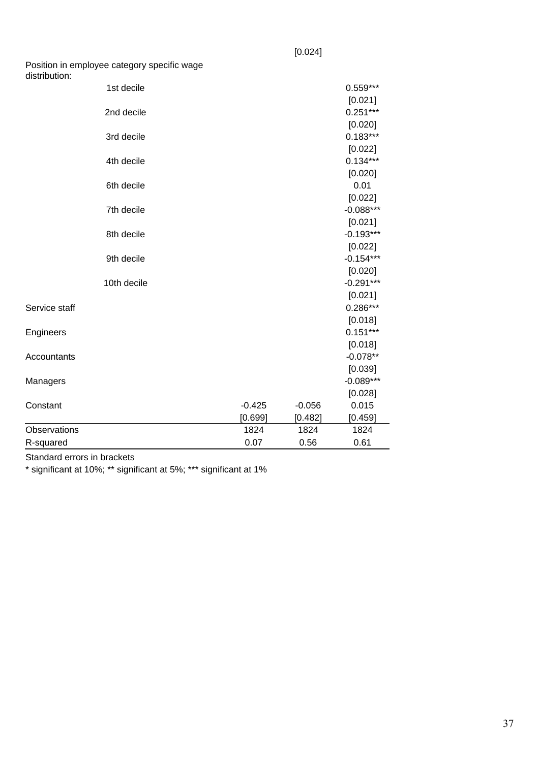Position in employee category specific wage

| distribution: |             |          |          |             |
|---------------|-------------|----------|----------|-------------|
|               | 1st decile  |          |          | $0.559***$  |
|               |             |          |          | [0.021]     |
|               | 2nd decile  |          |          | $0.251***$  |
|               |             |          |          | [0.020]     |
|               | 3rd decile  |          |          | $0.183***$  |
|               |             |          |          | [0.022]     |
|               | 4th decile  |          |          | $0.134***$  |
|               |             |          |          | [0.020]     |
|               | 6th decile  |          |          | 0.01        |
|               |             |          |          | [0.022]     |
|               | 7th decile  |          |          | $-0.088***$ |
|               |             |          |          | [0.021]     |
|               | 8th decile  |          |          | $-0.193***$ |
|               |             |          |          | [0.022]     |
|               | 9th decile  |          |          | $-0.154***$ |
|               |             |          |          | [0.020]     |
|               | 10th decile |          |          | $-0.291***$ |
|               |             |          |          | [0.021]     |
| Service staff |             |          |          | $0.286***$  |
|               |             |          |          | [0.018]     |
| Engineers     |             |          |          | $0.151***$  |
|               |             |          |          | [0.018]     |
| Accountants   |             |          |          | $-0.078**$  |
|               |             |          |          | [0.039]     |
| Managers      |             |          |          | $-0.089***$ |
|               |             |          |          | [0.028]     |
| Constant      |             | $-0.425$ | $-0.056$ | 0.015       |
|               |             | [0.699]  | [0.482]  | [0.459]     |
| Observations  |             | 1824     | 1824     | 1824        |
| R-squared     |             | 0.07     | 0.56     | 0.61        |

Standard errors in brackets

\* significant at 10%; \*\* significant at 5%; \*\*\* significant at 1%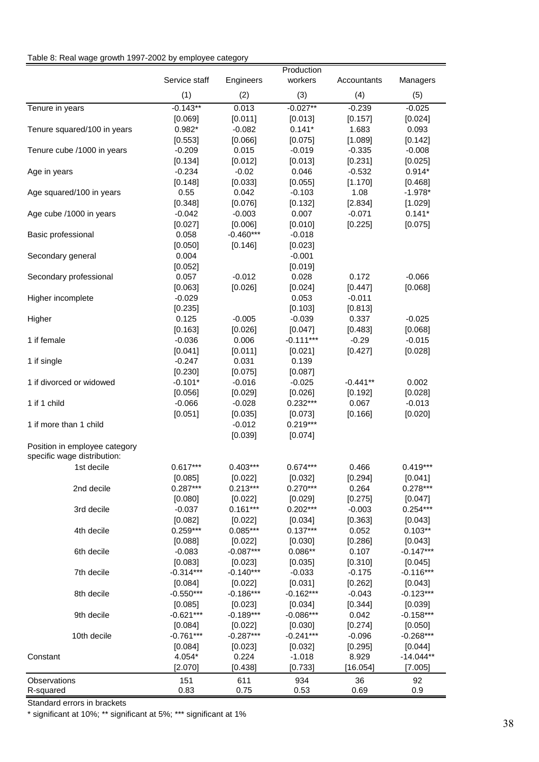#### Table 8: Real wage growth 1997-2002 by employee category

|                                                              |               |             | Production  |             |             |
|--------------------------------------------------------------|---------------|-------------|-------------|-------------|-------------|
|                                                              | Service staff | Engineers   | workers     | Accountants | Managers    |
|                                                              | (1)           | (2)         | (3)         | (4)         | (5)         |
| Tenure in years                                              | $-0.143**$    | 0.013       | $-0.027**$  | $-0.239$    | $-0.025$    |
|                                                              | [0.069]       | [0.011]     | [0.013]     | [0.157]     | [0.024]     |
| Tenure squared/100 in years                                  | $0.982*$      | $-0.082$    | $0.141*$    | 1.683       | 0.093       |
|                                                              | [0.553]       | [0.066]     | [0.075]     | [1.089]     | [0.142]     |
| Tenure cube /1000 in years                                   | $-0.209$      | 0.015       | $-0.019$    | $-0.335$    | $-0.008$    |
|                                                              | [0.134]       | [0.012]     | [0.013]     | [0.231]     | [0.025]     |
| Age in years                                                 | $-0.234$      | $-0.02$     | 0.046       | $-0.532$    | $0.914*$    |
|                                                              | [0.148]       | [0.033]     | [0.055]     | [1.170]     | [0.468]     |
| Age squared/100 in years                                     | 0.55          | 0.042       | $-0.103$    | 1.08        | $-1.978*$   |
|                                                              | [0.348]       | [0.076]     | [0.132]     | [2.834]     | [1.029]     |
| Age cube /1000 in years                                      | $-0.042$      | $-0.003$    | 0.007       | $-0.071$    | $0.141*$    |
|                                                              | [0.027]       | [0.006]     | [0.010]     | [0.225]     | [0.075]     |
| Basic professional                                           | 0.058         | $-0.460***$ | $-0.018$    |             |             |
|                                                              | [0.050]       | [0.146]     | [0.023]     |             |             |
| Secondary general                                            | 0.004         |             | $-0.001$    |             |             |
|                                                              | [0.052]       |             | [0.019]     |             |             |
| Secondary professional                                       | 0.057         | $-0.012$    | 0.028       | 0.172       | $-0.066$    |
|                                                              | [0.063]       | [0.026]     | [0.024]     | [0.447]     | [0.068]     |
| Higher incomplete                                            | $-0.029$      |             | 0.053       | $-0.011$    |             |
|                                                              | [0.235]       |             | [0.103]     | [0.813]     |             |
| Higher                                                       | 0.125         | $-0.005$    | $-0.039$    | 0.337       | $-0.025$    |
|                                                              | [0.163]       | [0.026]     | [0.047]     | [0.483]     | [0.068]     |
| 1 if female                                                  | $-0.036$      | 0.006       | $-0.111***$ | $-0.29$     | $-0.015$    |
|                                                              | [0.041]       | [0.011]     | [0.021]     | [0.427]     | [0.028]     |
| 1 if single                                                  | $-0.247$      | 0.031       | 0.139       |             |             |
|                                                              | [0.230]       | [0.075]     | [0.087]     |             |             |
| 1 if divorced or widowed                                     | $-0.101*$     | $-0.016$    | $-0.025$    | $-0.441**$  | 0.002       |
|                                                              | [0.056]       | [0.029]     | [0.026]     | [0.192]     | [0.028]     |
| 1 if 1 child                                                 | $-0.066$      | $-0.028$    | $0.232***$  | 0.067       | $-0.013$    |
|                                                              |               |             |             |             |             |
|                                                              | [0.051]       | [0.035]     | [0.073]     | [0.166]     | [0.020]     |
| 1 if more than 1 child                                       |               | $-0.012$    | $0.219***$  |             |             |
|                                                              |               | [0.039]     | [0.074]     |             |             |
| Position in employee category<br>specific wage distribution: |               |             |             |             |             |
| 1st decile                                                   | $0.617***$    | $0.403***$  | $0.674***$  | 0.466       | $0.419***$  |
|                                                              | [0.085]       | [0.022]     | [0.032]     | [0.294]     | [0.041]     |
| 2nd decile                                                   | $0.287***$    | $0.213***$  | $0.270***$  | 0.264       | $0.278***$  |
|                                                              | [0.080]       | [0.022]     | [0.029]     | [0.275]     | [0.047]     |
| 3rd decile                                                   | $-0.037$      | $0.161***$  | $0.202***$  | $-0.003$    | $0.254***$  |
|                                                              | [0.082]       | [0.022]     | [0.034]     | [0.363]     | [0.043]     |
| 4th decile                                                   | $0.259***$    | $0.085***$  | $0.137***$  | 0.052       | $0.103**$   |
|                                                              | [0.088]       | [0.022]     | [0.030]     | [0.286]     | [0.043]     |
| 6th decile                                                   | $-0.083$      | $-0.087***$ | $0.086**$   | 0.107       | $-0.147***$ |
|                                                              | [0.083]       | [0.023]     | [0.035]     | [0.310]     | [0.045]     |
| 7th decile                                                   | $-0.314***$   | $-0.140***$ | $-0.033$    | $-0.175$    | $-0.116***$ |
|                                                              | [0.084]       | [0.022]     | [0.031]     | [0.262]     | [0.043]     |
| 8th decile                                                   | $-0.550***$   | $-0.186***$ | $-0.162***$ | $-0.043$    | $-0.123***$ |
|                                                              | [0.085]       | [0.023]     | [0.034]     | [0.344]     | [0.039]     |
| 9th decile                                                   | $-0.621***$   | $-0.189***$ | $-0.086***$ | 0.042       | $-0.158***$ |
|                                                              | [0.084]       | [0.022]     | [0.030]     | [0.274]     | [0.050]     |
| 10th decile                                                  | $-0.761***$   | $-0.287***$ | $-0.241***$ | $-0.096$    | $-0.268***$ |
|                                                              | [0.084]       | [0.023]     | [0.032]     | [0.295]     | [0.044]     |
| Constant                                                     | 4.054*        | 0.224       | $-1.018$    | 8.929       | $-14.044**$ |
|                                                              | [2.070]       | [0.438]     | [0.733]     | [16.054]    | [7.005]     |
|                                                              |               |             |             |             |             |
| Observations                                                 | 151           | 611         | 934         | 36          | 92          |
| R-squared                                                    | 0.83          | 0.75        | 0.53        | 0.69        | 0.9         |

Standard errors in brackets

\* significant at 10%; \*\* significant at 5%; \*\*\* significant at 1%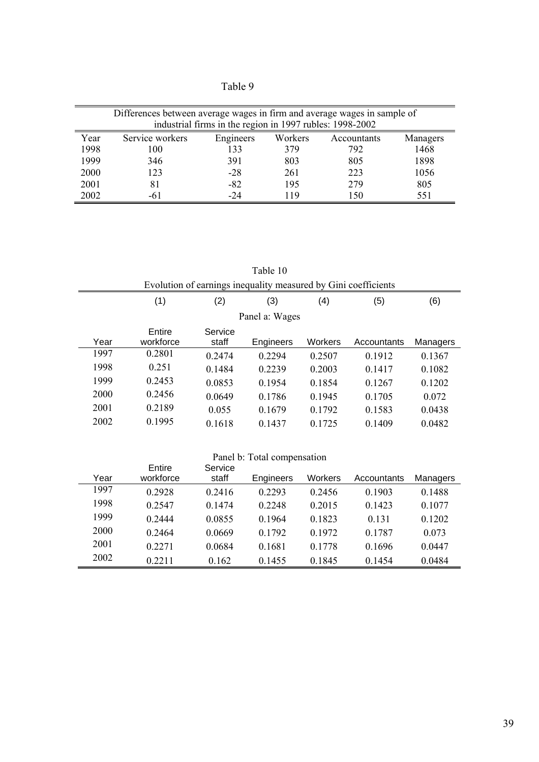Table 9

| Differences between average wages in firm and average wages in sample of<br>industrial firms in the region in 1997 rubles: 1998-2002 |                                   |       |     |     |      |  |  |  |  |  |
|--------------------------------------------------------------------------------------------------------------------------------------|-----------------------------------|-------|-----|-----|------|--|--|--|--|--|
| Year<br>Service workers<br>Workers<br>Engineers<br>Managers<br>Accountants                                                           |                                   |       |     |     |      |  |  |  |  |  |
| 1998                                                                                                                                 | 100                               | 133   | 379 | 792 | 1468 |  |  |  |  |  |
| 1999                                                                                                                                 | 346                               | 391   | 803 | 805 | 1898 |  |  |  |  |  |
| 2000                                                                                                                                 | 123                               | $-28$ | 261 | 223 | 1056 |  |  |  |  |  |
| 2001                                                                                                                                 | 81                                | $-82$ | 195 | 279 | 805  |  |  |  |  |  |
| 2002                                                                                                                                 | $-24$<br>150<br>551<br>119<br>-61 |       |     |     |      |  |  |  |  |  |

Table 10

|      | Evolution of earnings inequality measured by Gini coefficients |                  |           |         |             |          |  |  |  |  |  |  |
|------|----------------------------------------------------------------|------------------|-----------|---------|-------------|----------|--|--|--|--|--|--|
|      | (1)                                                            | (2)              | (3)       | (4)     | (5)         | (6)      |  |  |  |  |  |  |
|      | Panel a: Wages                                                 |                  |           |         |             |          |  |  |  |  |  |  |
| Year | Entire<br>workforce                                            | Service<br>staff | Engineers | Workers | Accountants | Managers |  |  |  |  |  |  |
| 1997 | 0.2801                                                         | 0.2474           | 0 2 2 9 4 | 0.2507  | 0 1 9 1 2   | 0.1367   |  |  |  |  |  |  |
| 1998 | 0.251                                                          | 0.1484           | 0.2239    | 0.2003  | 0.1417      | 0.1082   |  |  |  |  |  |  |
| 1999 | 0.2453                                                         | 0.0853           | 0.1954    | 0.1854  | 0.1267      | 0.1202   |  |  |  |  |  |  |
| 2000 | 0.2456                                                         | 0.0649           | 0.1786    | 0.1945  | 0.1705      | 0.072    |  |  |  |  |  |  |
| 2001 | 0.2189                                                         | 0.055            | 0.1679    | 0.1792  | 0.1583      | 0.0438   |  |  |  |  |  |  |
| 2002 | 0.1995                                                         | 0.1618           | 0.1437    | 0.1725  | 0.1409      | 0.0482   |  |  |  |  |  |  |

| Panel b: Total compensation |                     |                  |           |                |             |          |
|-----------------------------|---------------------|------------------|-----------|----------------|-------------|----------|
| Year                        | Entire<br>workforce | Service<br>staff | Engineers | <b>Workers</b> | Accountants | Managers |
| 1997                        | 0.2928              | 0.2416           | 0.2293    | 0.2456         | 0.1903      | 0.1488   |
| 1998                        | 0.2547              | 0.1474           | 0 2 2 4 8 | 0.2015         | 0.1423      | 0.1077   |
| 1999                        | 0.2444              | 0.0855           | 0.1964    | 0.1823         | 0.131       | 0.1202   |
| 2000                        | 0.2464              | 0.0669           | 0.1792    | 0.1972         | 0.1787      | 0.073    |
| 2001                        | 0.2271              | 0.0684           | 0.1681    | 0.1778         | 0.1696      | 0.0447   |
| 2002                        | 0 2 2 1 1           | 0.162            | 0.1455    | 0.1845         | 0.1454      | 0.0484   |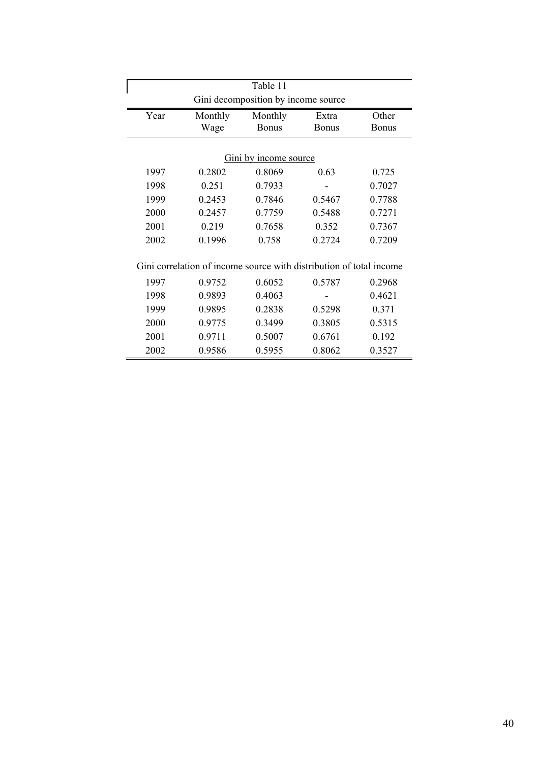| Table 11                                                            |                       |              |              |              |  |  |  |
|---------------------------------------------------------------------|-----------------------|--------------|--------------|--------------|--|--|--|
| Gini decomposition by income source                                 |                       |              |              |              |  |  |  |
| Year                                                                | Monthly               |              | Extra        | Other        |  |  |  |
|                                                                     | Wage                  | <b>Bonus</b> | <b>Bonus</b> | <b>Bonus</b> |  |  |  |
|                                                                     |                       |              |              |              |  |  |  |
|                                                                     | Gini by income source |              |              |              |  |  |  |
| 1997                                                                | 0.2802                | 0.8069       | 0.63         | 0.725        |  |  |  |
| 1998                                                                | 0.251                 | 0.7933       |              | 0.7027       |  |  |  |
| 1999                                                                | 0.2453                | 0.7846       | 0.5467       | 0.7788       |  |  |  |
| 2000                                                                | 0.2457                | 0.7759       | 0.5488       | 0.7271       |  |  |  |
| 2001                                                                | 0.219                 | 0.7658       | 0.352        | 0.7367       |  |  |  |
| 2002                                                                | 0.1996                | 0.758        | 0.2724       | 0.7209       |  |  |  |
|                                                                     |                       |              |              |              |  |  |  |
| Gini correlation of income source with distribution of total income |                       |              |              |              |  |  |  |
| 1997                                                                | 0.9752                | 0.6052       | 0.5787       | 0.2968       |  |  |  |
| 1998                                                                | 0.9893                | 0.4063       |              | 0.4621       |  |  |  |
| 1999                                                                | 0.9895                | 0.2838       | 0.5298       | 0.371        |  |  |  |
| 2000                                                                | 0.9775                | 0.3499       | 0.3805       | 0.5315       |  |  |  |
| 2001                                                                | 0.9711                | 0.5007       | 0.6761       | 0.192        |  |  |  |
| 2002                                                                | 0.9586                | 0.5955       | 0.8062       | 0.3527       |  |  |  |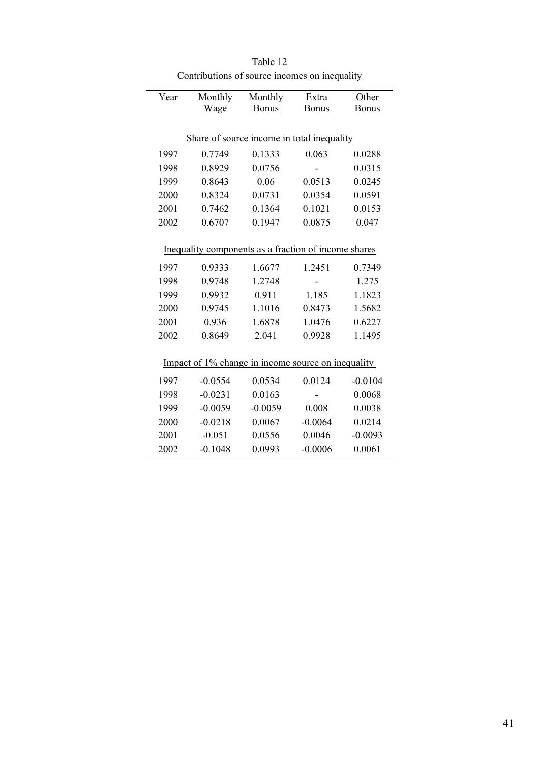| Year                                               | Monthly                                              | Monthly      | Extra        | Other        |  |  |
|----------------------------------------------------|------------------------------------------------------|--------------|--------------|--------------|--|--|
|                                                    | Wage                                                 | <b>Bonus</b> | <b>Bonus</b> | <b>Bonus</b> |  |  |
|                                                    |                                                      |              |              |              |  |  |
| Share of source income in total inequality         |                                                      |              |              |              |  |  |
| 1997                                               | 0.7749                                               | 0.1333       | 0.063        | 0.0288       |  |  |
| 1998                                               | 0.8929                                               | 0.0756       |              | 0.0315       |  |  |
| 1999                                               | 0.8643                                               | 0.06         | 0.0513       | 0.0245       |  |  |
| 2000                                               | 0.8324                                               | 0.0731       | 0.0354       | 0.0591       |  |  |
| 2001                                               | 0.7462                                               | 0.1364       | 0.1021       | 0.0153       |  |  |
| 2002                                               | 0.6707                                               | 0.1947       | 0.0875       | 0.047        |  |  |
|                                                    |                                                      |              |              |              |  |  |
|                                                    | Inequality components as a fraction of income shares |              |              |              |  |  |
| 1997                                               | 0.9333                                               | 1.6677       | 1.2451       | 0.7349       |  |  |
| 1998                                               | 0.9748                                               | 1.2748       |              | 1.275        |  |  |
| 1999                                               | 0.9932                                               | 0.911        | 1.185        | 1.1823       |  |  |
| 2000                                               | 0.9745                                               | 1.1016       | 0.8473       | 1.5682       |  |  |
| 2001                                               | 0.936                                                | 1.6878       | 1.0476       | 0.6227       |  |  |
| 2002                                               | 0.8649                                               | 2.041        | 0.9928       | 1.1495       |  |  |
|                                                    |                                                      |              |              |              |  |  |
| Impact of 1% change in income source on inequality |                                                      |              |              |              |  |  |
| 1997                                               | $-0.0554$                                            | 0.0534       | 0.0124       | $-0.0104$    |  |  |
| 1998                                               | $-0.0231$                                            | 0.0163       |              | 0.0068       |  |  |
| 1999                                               | $-0.0059$                                            | $-0.0059$    | 0.008        | 0.0038       |  |  |
| 2000                                               | $-0.0218$                                            | 0.0067       | $-0.0064$    | 0.0214       |  |  |
| 2001                                               | $-0.051$                                             | 0.0556       | 0.0046       | $-0.0093$    |  |  |
| 2002                                               | $-0.1048$                                            | 0.0993       | $-0.0006$    | 0.0061       |  |  |
|                                                    |                                                      |              |              |              |  |  |

j.

Table 12 Contributions of source incomes on inequality